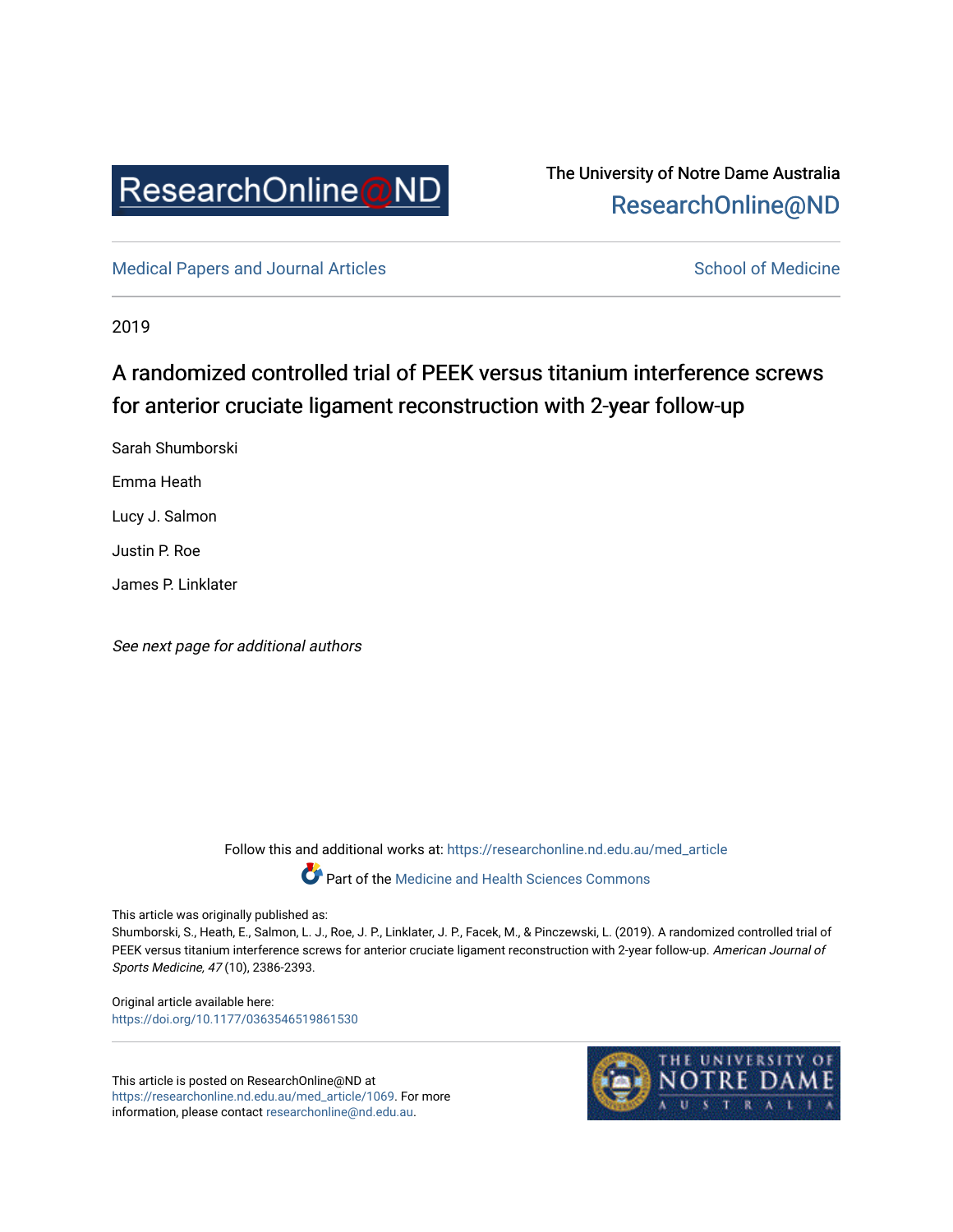

## The University of Notre Dame Australia [ResearchOnline@ND](https://researchonline.nd.edu.au/)

[Medical Papers and Journal Articles](https://researchonline.nd.edu.au/med_article) and School of Medicine

2019

# A randomized controlled trial of PEEK versus titanium interference screws for anterior cruciate ligament reconstruction with 2-year follow-up

Sarah Shumborski Emma Heath Lucy J. Salmon Justin P. Roe James P. Linklater

See next page for additional authors

Follow this and additional works at: [https://researchonline.nd.edu.au/med\\_article](https://researchonline.nd.edu.au/med_article?utm_source=researchonline.nd.edu.au%2Fmed_article%2F1069&utm_medium=PDF&utm_campaign=PDFCoverPages) 

Part of the [Medicine and Health Sciences Commons](http://network.bepress.com/hgg/discipline/648?utm_source=researchonline.nd.edu.au%2Fmed_article%2F1069&utm_medium=PDF&utm_campaign=PDFCoverPages)

This article was originally published as:

Shumborski, S., Heath, E., Salmon, L. J., Roe, J. P., Linklater, J. P., Facek, M., & Pinczewski, L. (2019). A randomized controlled trial of PEEK versus titanium interference screws for anterior cruciate ligament reconstruction with 2-year follow-up. American Journal of Sports Medicine, 47 (10), 2386-2393.

Original article available here: [https://doi.org/10.1177/0363546519861530](https://doi.org/10.1177/0363546519861530%20)

This article is posted on ResearchOnline@ND at [https://researchonline.nd.edu.au/med\\_article/1069.](https://researchonline.nd.edu.au/med_article/1069) For more information, please contact [researchonline@nd.edu.au.](mailto:researchonline@nd.edu.au)

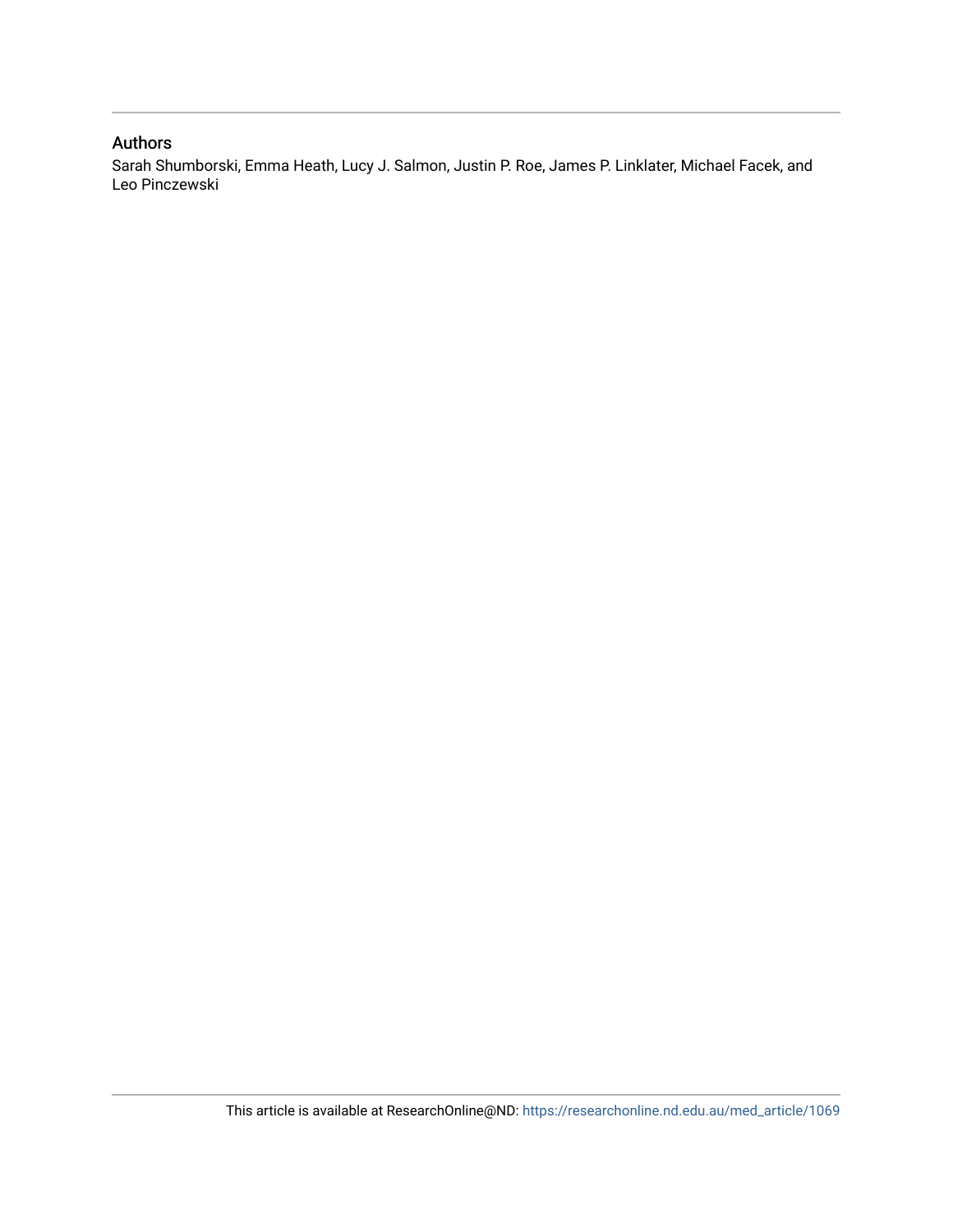### Authors

Sarah Shumborski, Emma Heath, Lucy J. Salmon, Justin P. Roe, James P. Linklater, Michael Facek, and Leo Pinczewski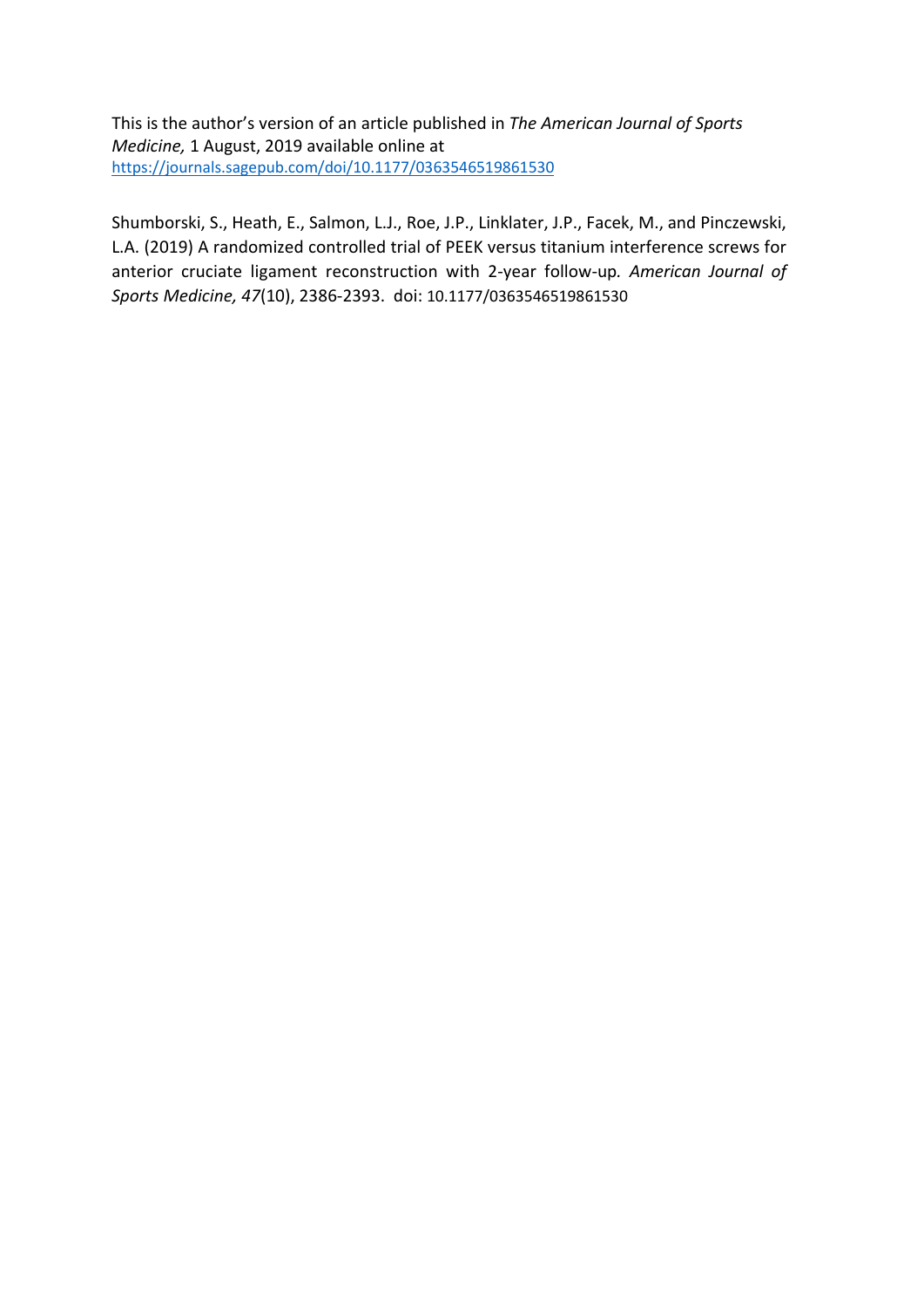This is the author's version of an article published in *The American Journal of Sports Medicine,* 1 August, 2019 available online at <https://journals.sagepub.com/doi/10.1177/0363546519861530>

Shumborski, S., Heath, E., Salmon, L.J., Roe, J.P., Linklater, J.P., Facek, M., and Pinczewski, L.A. (2019) A randomized controlled trial of PEEK versus titanium interference screws for anterior cruciate ligament reconstruction with 2-year follow-up*. American Journal of Sports Medicine, 47*(10), 2386-2393. doi: 10.1177/0363546519861530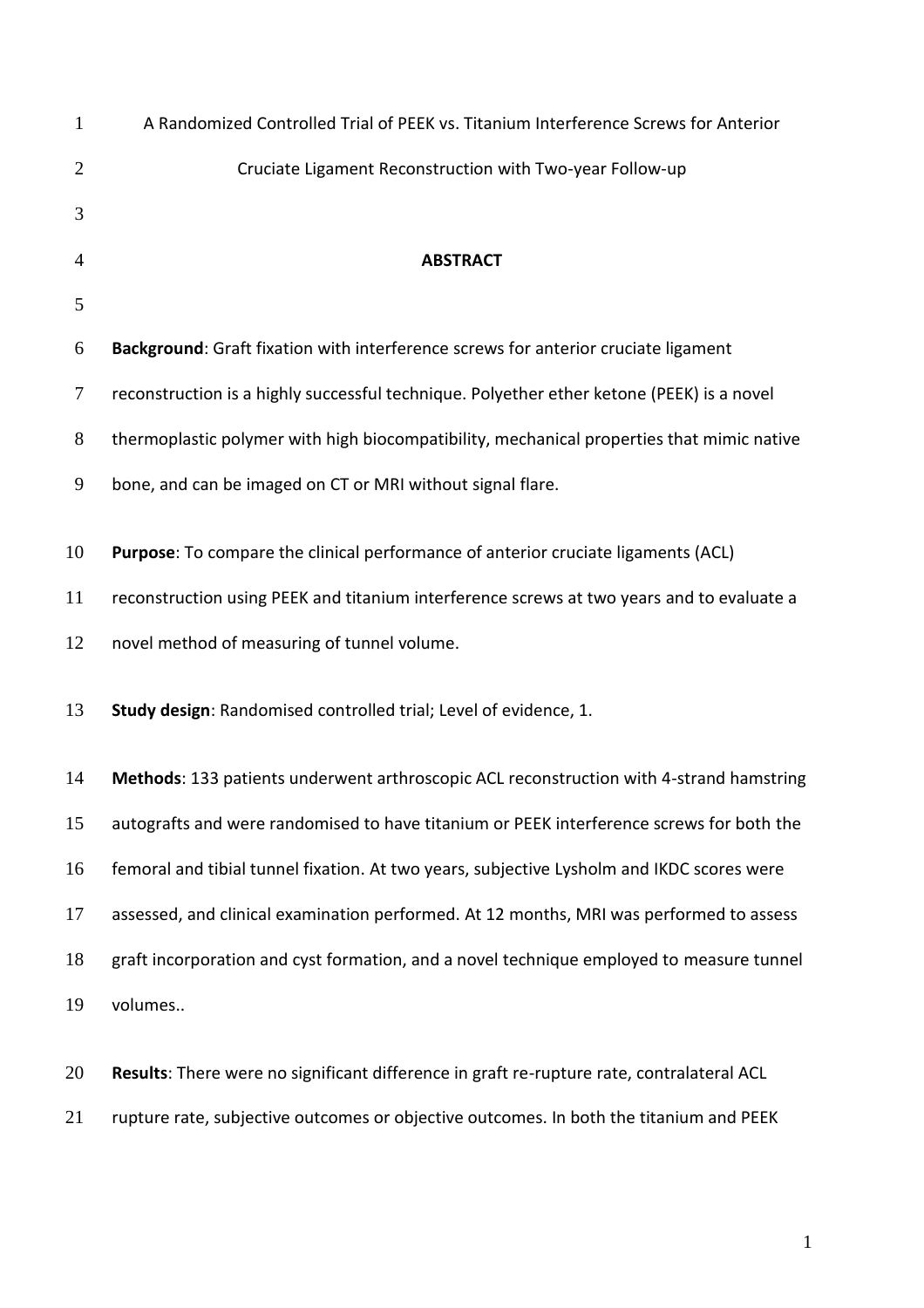| $\mathbf{1}$   | A Randomized Controlled Trial of PEEK vs. Titanium Interference Screws for Anterior       |
|----------------|-------------------------------------------------------------------------------------------|
| $\overline{c}$ | Cruciate Ligament Reconstruction with Two-year Follow-up                                  |
| 3              |                                                                                           |
| 4              | <b>ABSTRACT</b>                                                                           |
| 5              |                                                                                           |
| 6              | Background: Graft fixation with interference screws for anterior cruciate ligament        |
| 7              | reconstruction is a highly successful technique. Polyether ether ketone (PEEK) is a novel |
| $8\,$          | thermoplastic polymer with high biocompatibility, mechanical properties that mimic native |
| 9              | bone, and can be imaged on CT or MRI without signal flare.                                |
| 10             | Purpose: To compare the clinical performance of anterior cruciate ligaments (ACL)         |
| 11             | reconstruction using PEEK and titanium interference screws at two years and to evaluate a |
| 12             | novel method of measuring of tunnel volume.                                               |
| 13             | Study design: Randomised controlled trial; Level of evidence, 1.                          |
| 14             | Methods: 133 patients underwent arthroscopic ACL reconstruction with 4-strand hamstring   |
| 15             | autografts and were randomised to have titanium or PEEK interference screws for both the  |
| 16             | femoral and tibial tunnel fixation. At two years, subjective Lysholm and IKDC scores were |
| 17             | assessed, and clinical examination performed. At 12 months, MRI was performed to assess   |
| 18             | graft incorporation and cyst formation, and a novel technique employed to measure tunnel  |
| 19             | volumes                                                                                   |
|                |                                                                                           |

 **Results**: There were no significant difference in graft re-rupture rate, contralateral ACL rupture rate, subjective outcomes or objective outcomes. In both the titanium and PEEK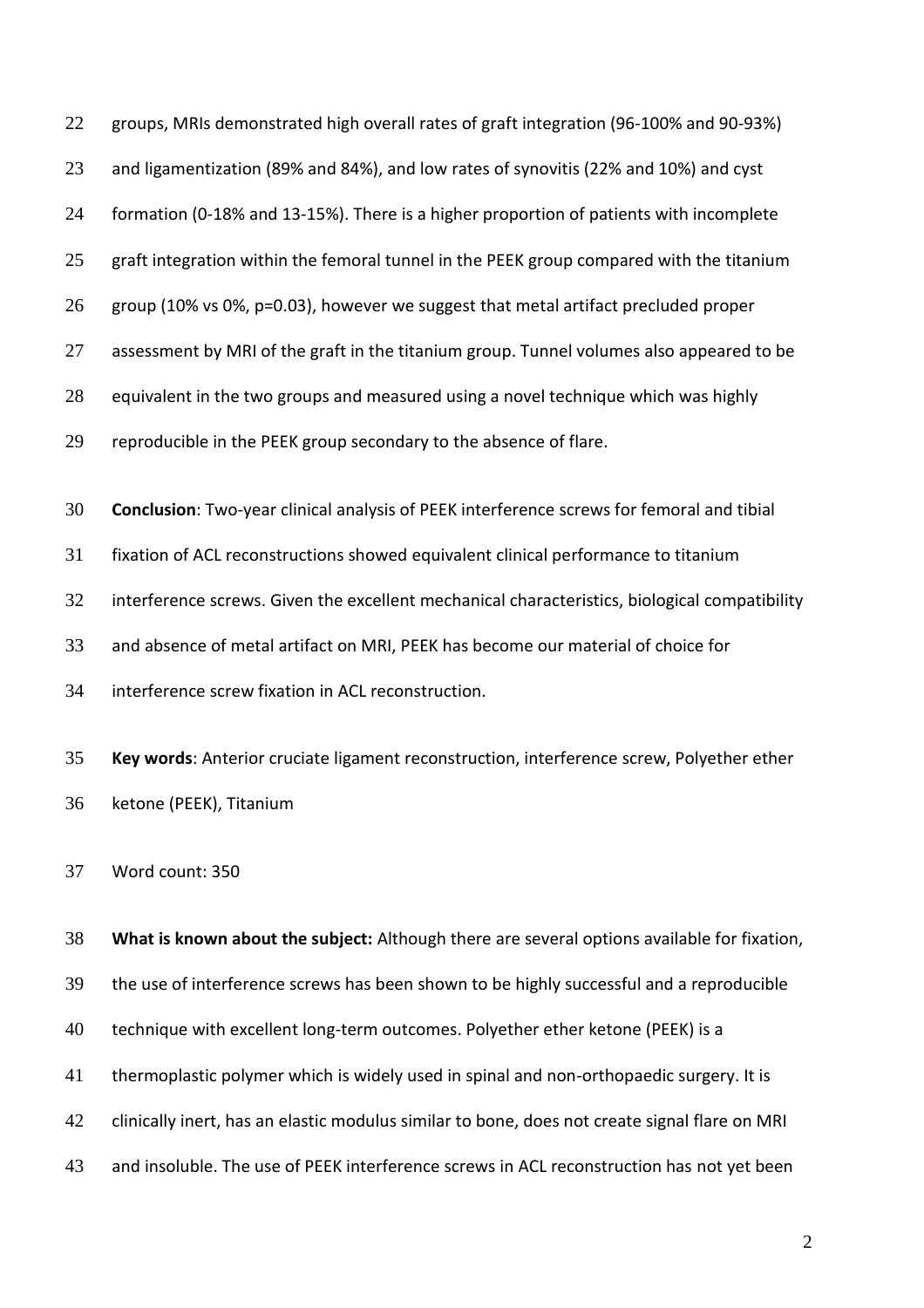| 22 | groups, MRIs demonstrated high overall rates of graft integration (96-100% and 90-93%)        |
|----|-----------------------------------------------------------------------------------------------|
| 23 | and ligamentization (89% and 84%), and low rates of synovitis (22% and 10%) and cyst          |
| 24 | formation (0-18% and 13-15%). There is a higher proportion of patients with incomplete        |
| 25 | graft integration within the femoral tunnel in the PEEK group compared with the titanium      |
| 26 | group (10% vs 0%, p=0.03), however we suggest that metal artifact precluded proper            |
| 27 | assessment by MRI of the graft in the titanium group. Tunnel volumes also appeared to be      |
| 28 | equivalent in the two groups and measured using a novel technique which was highly            |
| 29 | reproducible in the PEEK group secondary to the absence of flare.                             |
|    |                                                                                               |
| 30 | Conclusion: Two-year clinical analysis of PEEK interference screws for femoral and tibial     |
| 31 | fixation of ACL reconstructions showed equivalent clinical performance to titanium            |
| 32 | interference screws. Given the excellent mechanical characteristics, biological compatibility |
| 33 | and absence of metal artifact on MRI, PEEK has become our material of choice for              |
| 34 | interference screw fixation in ACL reconstruction.                                            |
| 35 | Key words: Anterior cruciate ligament reconstruction, interference screw, Polyether ether     |
|    |                                                                                               |
| 36 | ketone (PEEK), Titanium                                                                       |
| 37 | Word count: 350                                                                               |
| 38 | What is known about the subject: Although there are several options available for fixation,   |
|    |                                                                                               |
| 39 | the use of interference screws has been shown to be highly successful and a reproducible      |
| 40 | technique with excellent long-term outcomes. Polyether ether ketone (PEEK) is a               |
| 41 | thermoplastic polymer which is widely used in spinal and non-orthopaedic surgery. It is       |
| 42 | clinically inert, has an elastic modulus similar to bone, does not create signal flare on MRI |
|    |                                                                                               |

and insoluble. The use of PEEK interference screws in ACL reconstruction has not yet been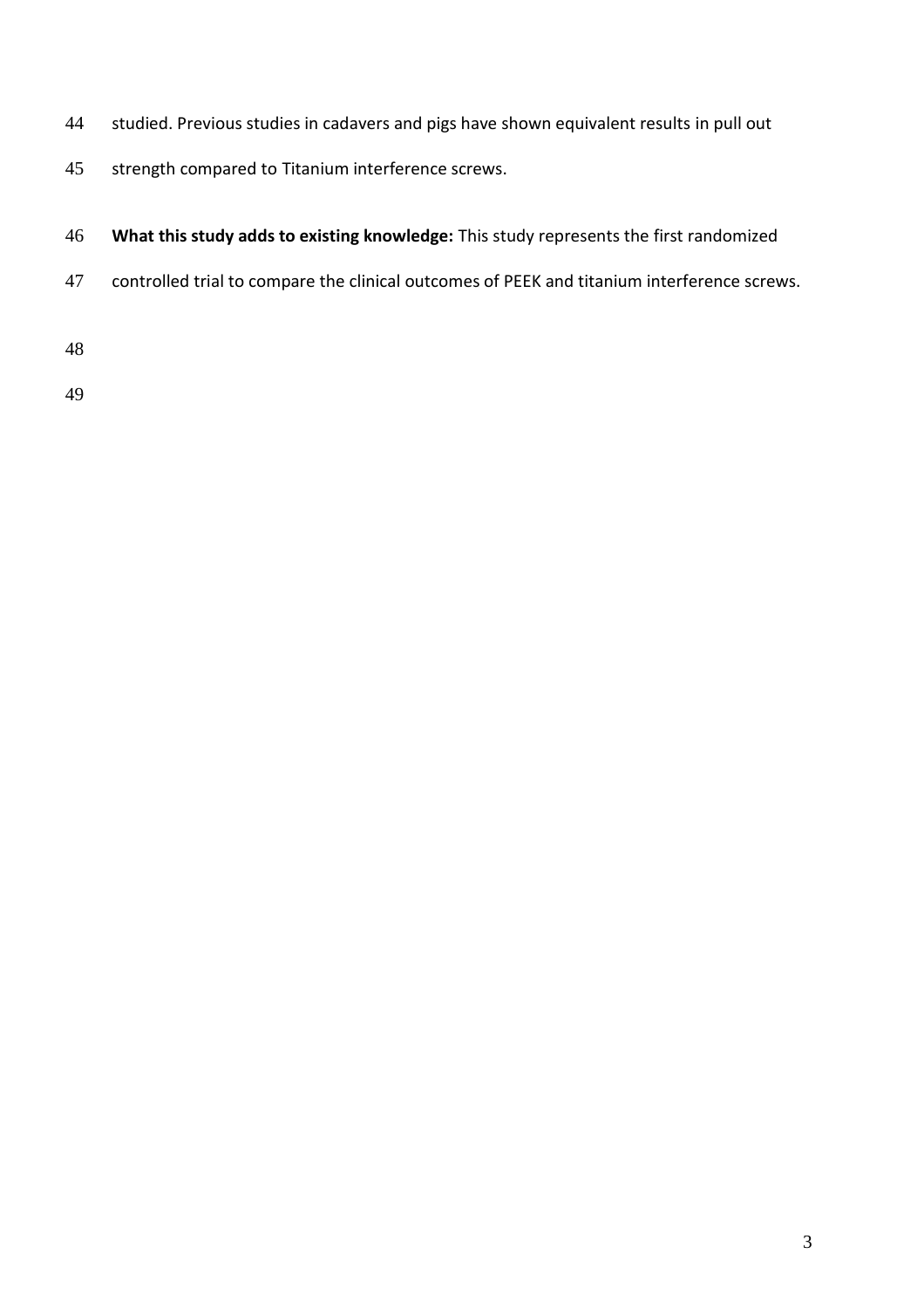- studied. Previous studies in cadavers and pigs have shown equivalent results in pull out
- strength compared to Titanium interference screws.
- **What this study adds to existing knowledge:** This study represents the first randomized
- controlled trial to compare the clinical outcomes of PEEK and titanium interference screws.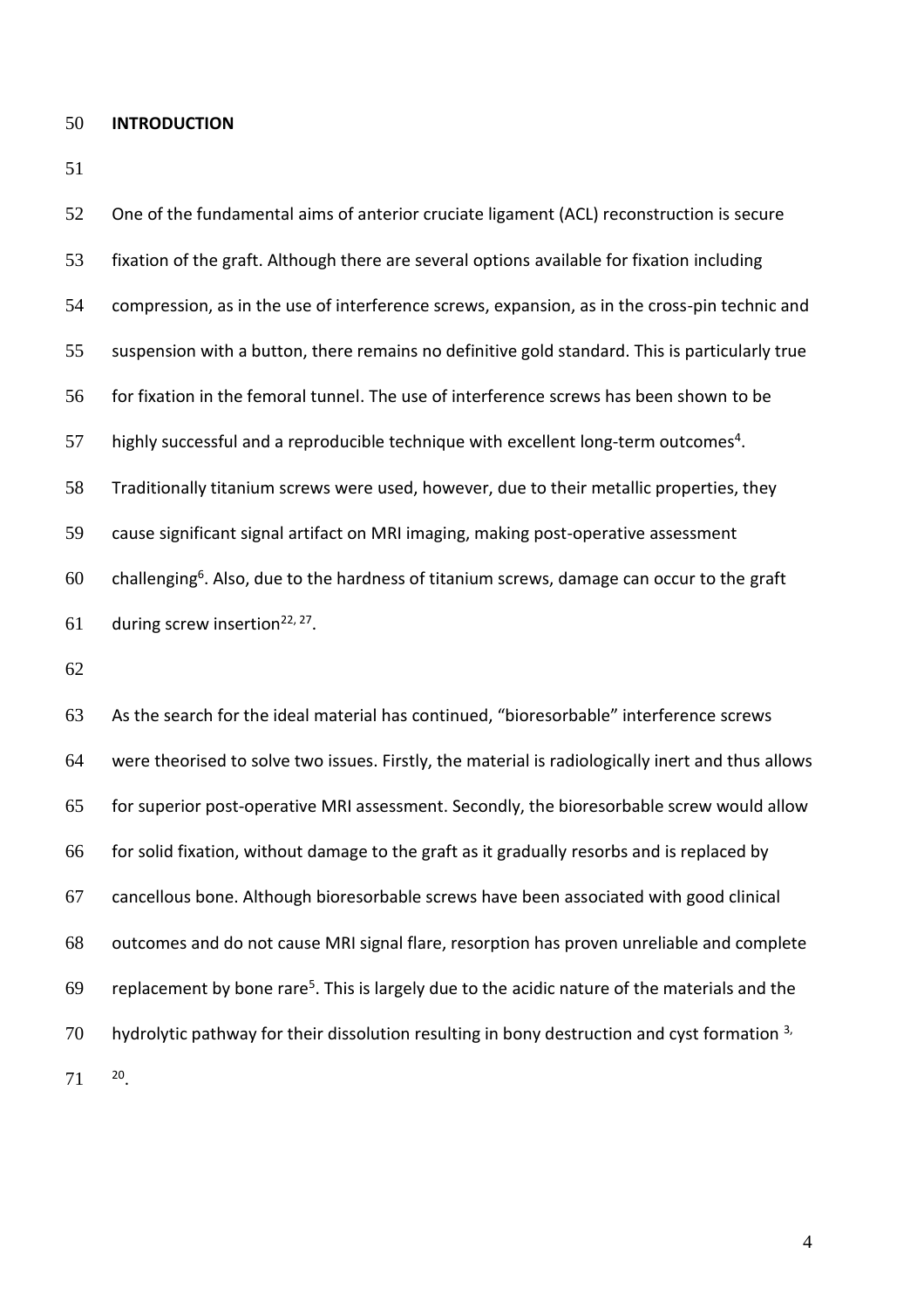#### **INTRODUCTION**

 One of the fundamental aims of anterior cruciate ligament (ACL) reconstruction is secure fixation of the graft. Although there are several options available for fixation including compression, as in the use of interference screws, expansion, as in the cross-pin technic and suspension with a button, there remains no definitive gold standard. This is particularly true 56 for fixation in the femoral tunnel. The use of interference screws has been shown to be 57 highly successful and a reproducible technique with excellent long-term outcomes<sup>4</sup>. Traditionally titanium screws were used, however, due to their metallic properties, they cause significant signal artifact on MRI imaging, making post-operative assessment 60 . challenging<sup>6</sup>. Also, due to the hardness of titanium screws, damage can occur to the graft 61 during screw insertion<sup>22, 27</sup>. As the search for the ideal material has continued, "bioresorbable" interference screws

 were theorised to solve two issues. Firstly, the material is radiologically inert and thus allows for superior post-operative MRI assessment. Secondly, the bioresorbable screw would allow for solid fixation, without damage to the graft as it gradually resorbs and is replaced by cancellous bone. Although bioresorbable screws have been associated with good clinical outcomes and do not cause MRI signal flare, resorption has proven unreliable and complete 69 replacement by bone rare<sup>5</sup>. This is largely due to the acidic nature of the materials and the hydrolytic pathway for their dissolution resulting in bony destruction and cyst formation  $3$ , 71 20.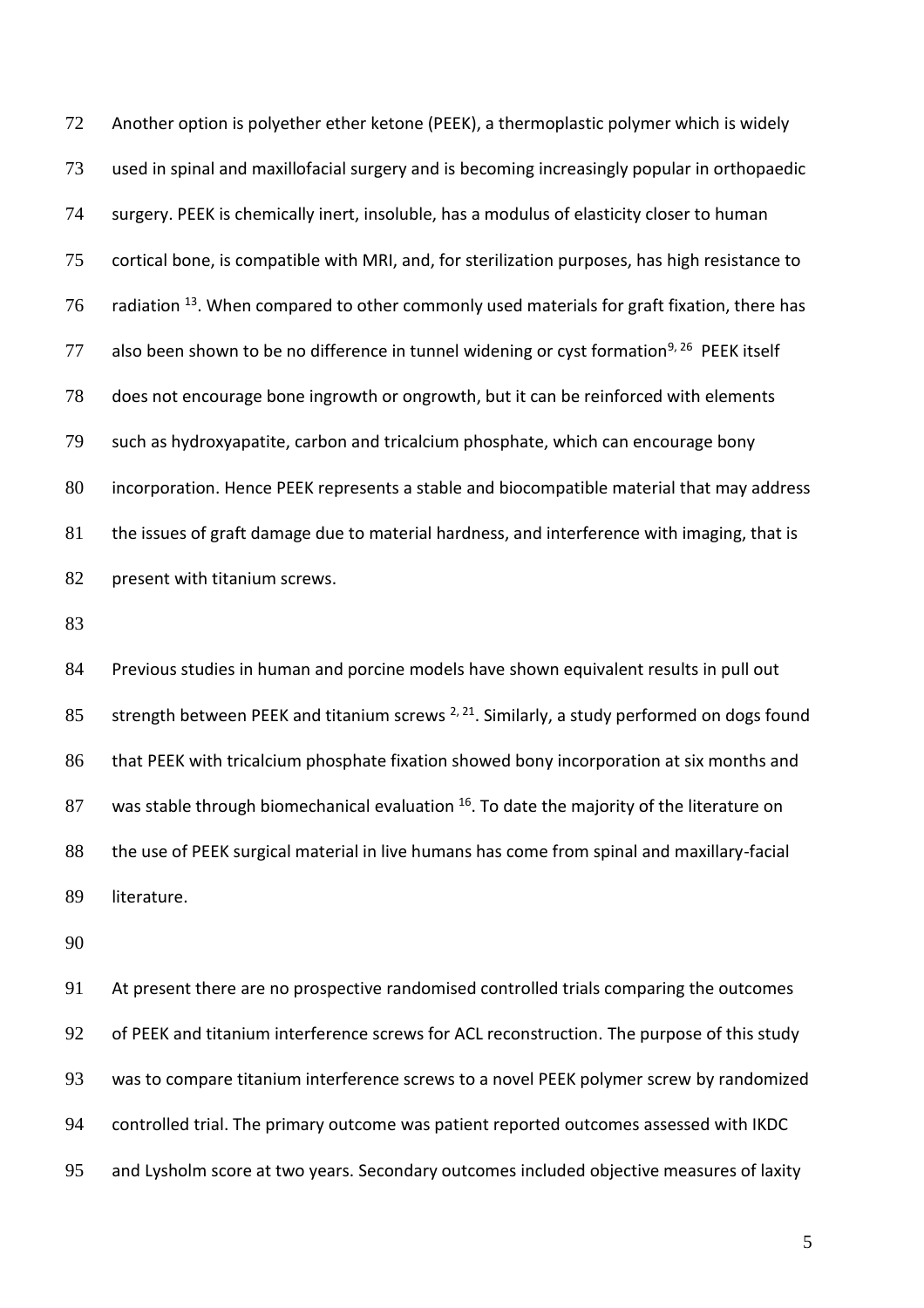Another option is polyether ether ketone (PEEK), a thermoplastic polymer which is widely used in spinal and maxillofacial surgery and is becoming increasingly popular in orthopaedic surgery. PEEK is chemically inert, insoluble, has a modulus of elasticity closer to human cortical bone, is compatible with MRI, and, for sterilization purposes, has high resistance to 76 radiation <sup>13</sup>. When compared to other commonly used materials for graft fixation, there has 77 also been shown to be no difference in tunnel widening or cyst formation<sup>9, 26</sup> PEEK itself does not encourage bone ingrowth or ongrowth, but it can be reinforced with elements such as hydroxyapatite, carbon and tricalcium phosphate, which can encourage bony incorporation. Hence PEEK represents a stable and biocompatible material that may address 81 the issues of graft damage due to material hardness, and interference with imaging, that is 82 present with titanium screws.

 Previous studies in human and porcine models have shown equivalent results in pull out 85 strength between PEEK and titanium screws  $^{2, 21}$ . Similarly, a study performed on dogs found 86 that PEEK with tricalcium phosphate fixation showed bony incorporation at six months and 87 was stable through biomechanical evaluation . To date the majority of the literature on 88 the use of PEEK surgical material in live humans has come from spinal and maxillary-facial literature.

 At present there are no prospective randomised controlled trials comparing the outcomes 92 of PEEK and titanium interference screws for ACL reconstruction. The purpose of this study was to compare titanium interference screws to a novel PEEK polymer screw by randomized controlled trial. The primary outcome was patient reported outcomes assessed with IKDC and Lysholm score at two years. Secondary outcomes included objective measures of laxity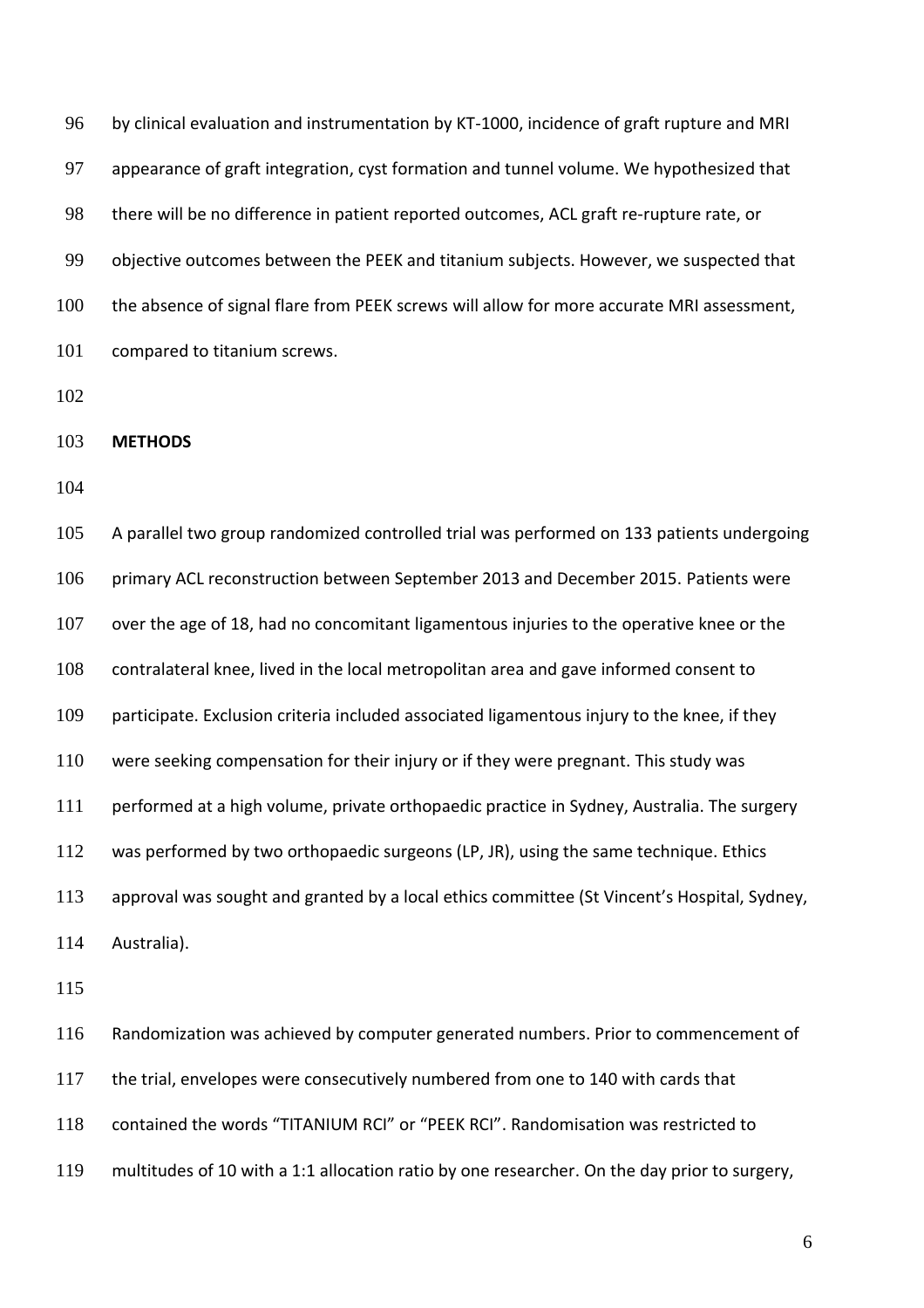96 by clinical evaluation and instrumentation by KT-1000, incidence of graft rupture and MRI appearance of graft integration, cyst formation and tunnel volume. We hypothesized that 98 there will be no difference in patient reported outcomes, ACL graft re-rupture rate, or objective outcomes between the PEEK and titanium subjects. However, we suspected that the absence of signal flare from PEEK screws will allow for more accurate MRI assessment, 101 compared to titanium screws.

**METHODS**

 A parallel two group randomized controlled trial was performed on 133 patients undergoing primary ACL reconstruction between September 2013 and December 2015. Patients were over the age of 18, had no concomitant ligamentous injuries to the operative knee or the contralateral knee, lived in the local metropolitan area and gave informed consent to participate. Exclusion criteria included associated ligamentous injury to the knee, if they were seeking compensation for their injury or if they were pregnant. This study was performed at a high volume, private orthopaedic practice in Sydney, Australia. The surgery was performed by two orthopaedic surgeons (LP, JR), using the same technique. Ethics approval was sought and granted by a local ethics committee (St Vincent's Hospital, Sydney, Australia). Randomization was achieved by computer generated numbers. Prior to commencement of the trial, envelopes were consecutively numbered from one to 140 with cards that

contained the words "TITANIUM RCI" or "PEEK RCI". Randomisation was restricted to

multitudes of 10 with a 1:1 allocation ratio by one researcher. On the day prior to surgery,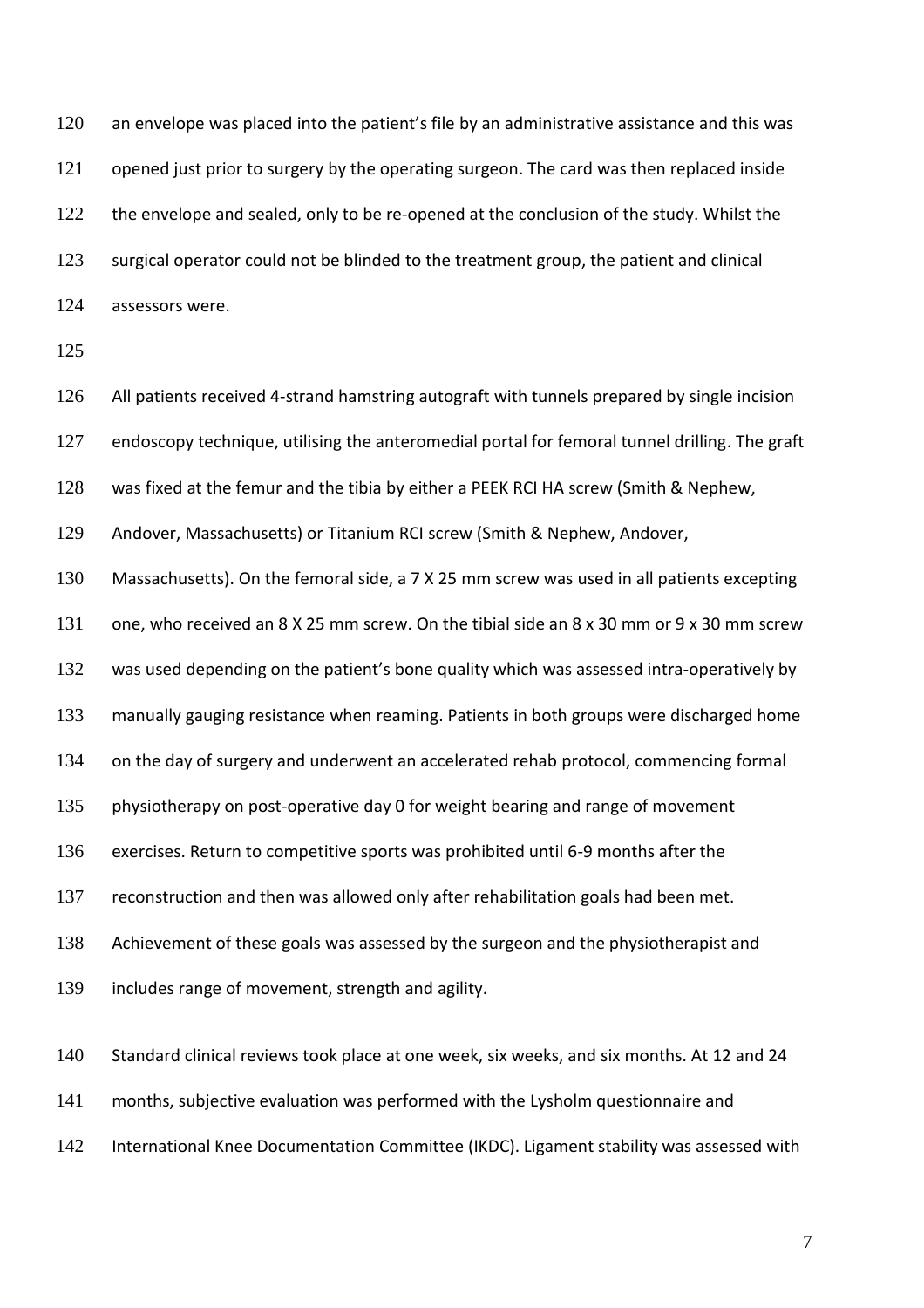120 an envelope was placed into the patient's file by an administrative assistance and this was 121 opened just prior to surgery by the operating surgeon. The card was then replaced inside 122 the envelope and sealed, only to be re-opened at the conclusion of the study. Whilst the surgical operator could not be blinded to the treatment group, the patient and clinical assessors were.

 All patients received 4-strand hamstring autograft with tunnels prepared by single incision endoscopy technique, utilising the anteromedial portal for femoral tunnel drilling. The graft was fixed at the femur and the tibia by either a PEEK RCI HA screw (Smith & Nephew,

Andover, Massachusetts) or Titanium RCI screw (Smith & Nephew, Andover,

Massachusetts). On the femoral side, a 7 X 25 mm screw was used in all patients excepting

one, who received an 8 X 25 mm screw. On the tibial side an 8 x 30 mm or 9 x 30 mm screw

132 was used depending on the patient's bone quality which was assessed intra-operatively by

manually gauging resistance when reaming. Patients in both groups were discharged home

on the day of surgery and underwent an accelerated rehab protocol, commencing formal

physiotherapy on post-operative day 0 for weight bearing and range of movement

exercises. Return to competitive sports was prohibited until 6-9 months after the

reconstruction and then was allowed only after rehabilitation goals had been met.

Achievement of these goals was assessed by the surgeon and the physiotherapist and

includes range of movement, strength and agility.

140 Standard clinical reviews took place at one week, six weeks, and six months. At 12 and 24

months, subjective evaluation was performed with the Lysholm questionnaire and

International Knee Documentation Committee (IKDC). Ligament stability was assessed with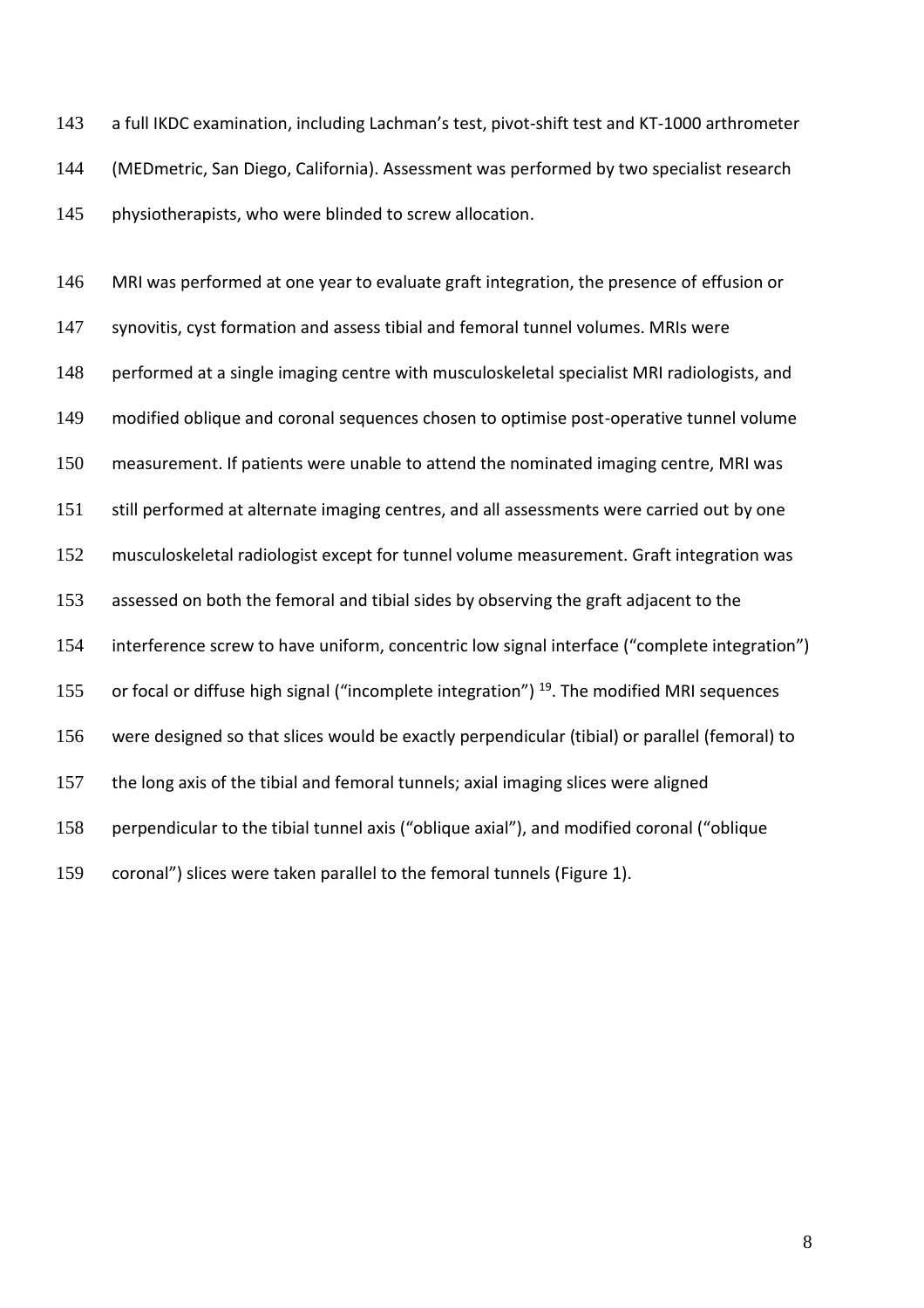143 a full IKDC examination, including Lachman's test, pivot-shift test and KT-1000 arthrometer (MEDmetric, San Diego, California). Assessment was performed by two specialist research physiotherapists, who were blinded to screw allocation.

 MRI was performed at one year to evaluate graft integration, the presence of effusion or synovitis, cyst formation and assess tibial and femoral tunnel volumes. MRIs were 148 performed at a single imaging centre with musculoskeletal specialist MRI radiologists, and modified oblique and coronal sequences chosen to optimise post-operative tunnel volume measurement. If patients were unable to attend the nominated imaging centre, MRI was 151 still performed at alternate imaging centres, and all assessments were carried out by one musculoskeletal radiologist except for tunnel volume measurement. Graft integration was assessed on both the femoral and tibial sides by observing the graft adjacent to the interference screw to have uniform, concentric low signal interface ("complete integration") 155 or focal or diffuse high signal ("incomplete integration") . The modified MRI sequences were designed so that slices would be exactly perpendicular (tibial) or parallel (femoral) to the long axis of the tibial and femoral tunnels; axial imaging slices were aligned perpendicular to the tibial tunnel axis ("oblique axial"), and modified coronal ("oblique coronal") slices were taken parallel to the femoral tunnels (Figure 1).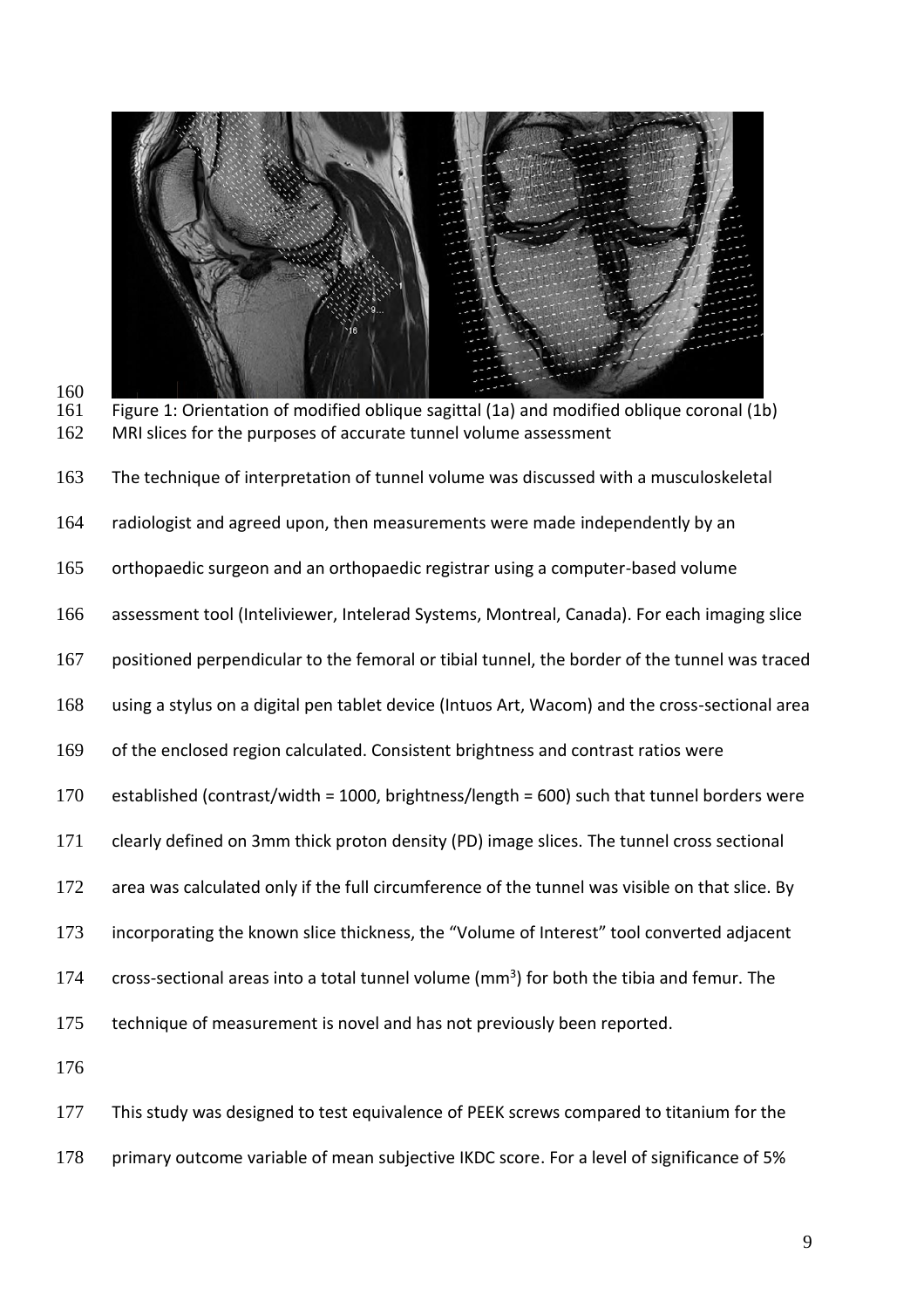



Figure 1: Orientation of modified oblique sagittal (1a) and modified oblique coronal (1b) 162 MRI slices for the purposes of accurate tunnel volume assessment

The technique of interpretation of tunnel volume was discussed with a musculoskeletal

radiologist and agreed upon, then measurements were made independently by an

orthopaedic surgeon and an orthopaedic registrar using a computer-based volume

assessment tool (Inteliviewer, Intelerad Systems, Montreal, Canada). For each imaging slice

positioned perpendicular to the femoral or tibial tunnel, the border of the tunnel was traced

using a stylus on a digital pen tablet device (Intuos Art, Wacom) and the cross-sectional area

of the enclosed region calculated. Consistent brightness and contrast ratios were

established (contrast/width = 1000, brightness/length = 600) such that tunnel borders were

clearly defined on 3mm thick proton density (PD) image slices. The tunnel cross sectional

- 172 area was calculated only if the full circumference of the tunnel was visible on that slice. By
- incorporating the known slice thickness, the "Volume of Interest" tool converted adjacent

174  $\cdot$  cross-sectional areas into a total tunnel volume (mm<sup>3</sup>) for both the tibia and femur. The

technique of measurement is novel and has not previously been reported.

 This study was designed to test equivalence of PEEK screws compared to titanium for the 178 primary outcome variable of mean subjective IKDC score. For a level of significance of 5%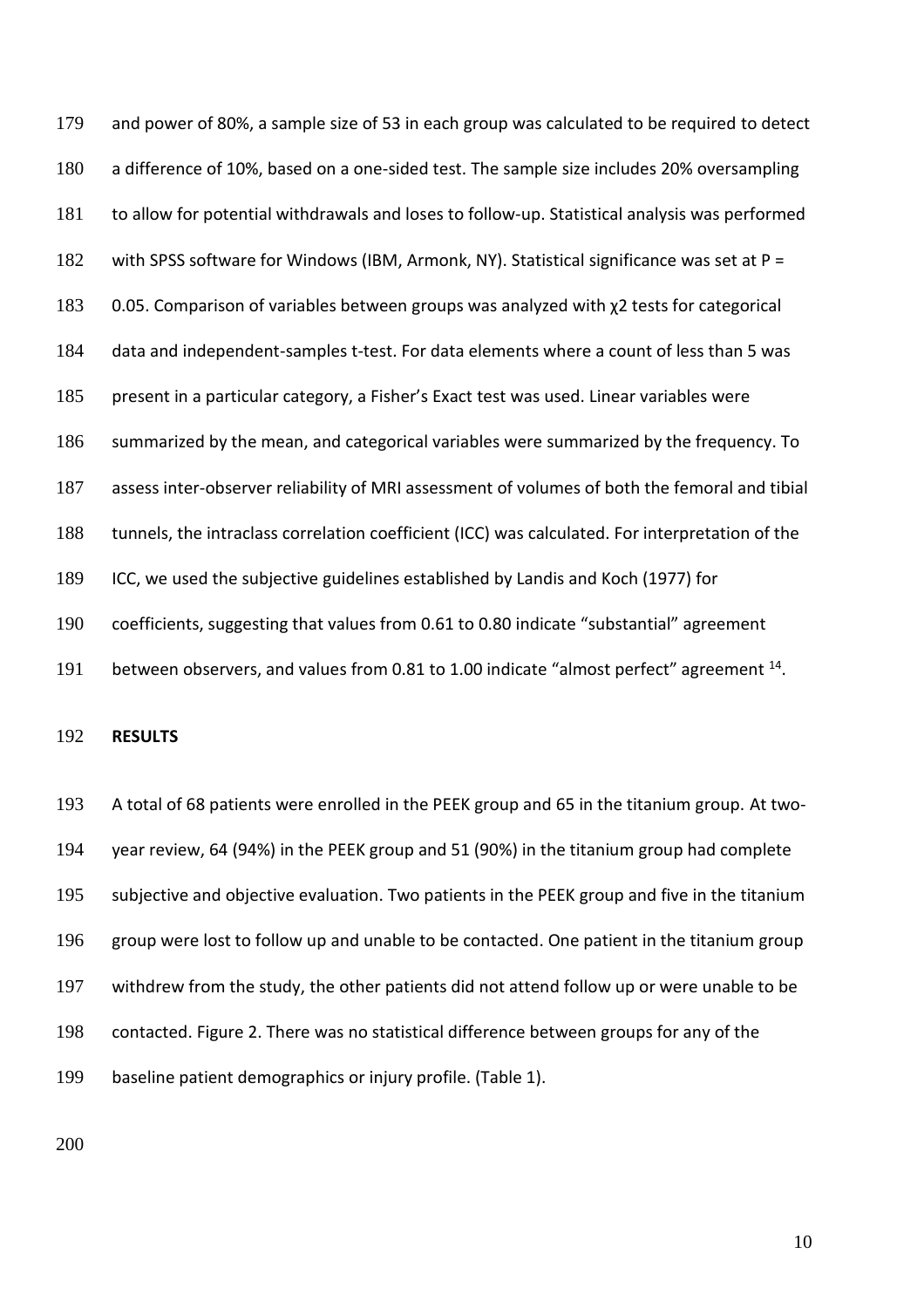and power of 80%, a sample size of 53 in each group was calculated to be required to detect a difference of 10%, based on a one-sided test. The sample size includes 20% oversampling to allow for potential withdrawals and loses to follow-up. Statistical analysis was performed 182 with SPSS software for Windows (IBM, Armonk, NY). Statistical significance was set at P = 0.05. Comparison of variables between groups was analyzed with χ2 tests for categorical data and independent-samples t-test. For data elements where a count of less than 5 was present in a particular category, a Fisher's Exact test was used. Linear variables were summarized by the mean, and categorical variables were summarized by the frequency. To assess inter-observer reliability of MRI assessment of volumes of both the femoral and tibial tunnels, the intraclass correlation coefficient (ICC) was calculated. For interpretation of the ICC, we used the subjective guidelines established by Landis and Koch (1977) for coefficients, suggesting that values from 0.61 to 0.80 indicate "substantial" agreement 191 between observers, and values from 0.81 to 1.00 indicate "almost perfect" agreement <sup>14</sup>.

**RESULTS**

 A total of 68 patients were enrolled in the PEEK group and 65 in the titanium group. At two- year review, 64 (94%) in the PEEK group and 51 (90%) in the titanium group had complete subjective and objective evaluation. Two patients in the PEEK group and five in the titanium group were lost to follow up and unable to be contacted. One patient in the titanium group withdrew from the study, the other patients did not attend follow up or were unable to be contacted. Figure 2. There was no statistical difference between groups for any of the baseline patient demographics or injury profile. (Table 1).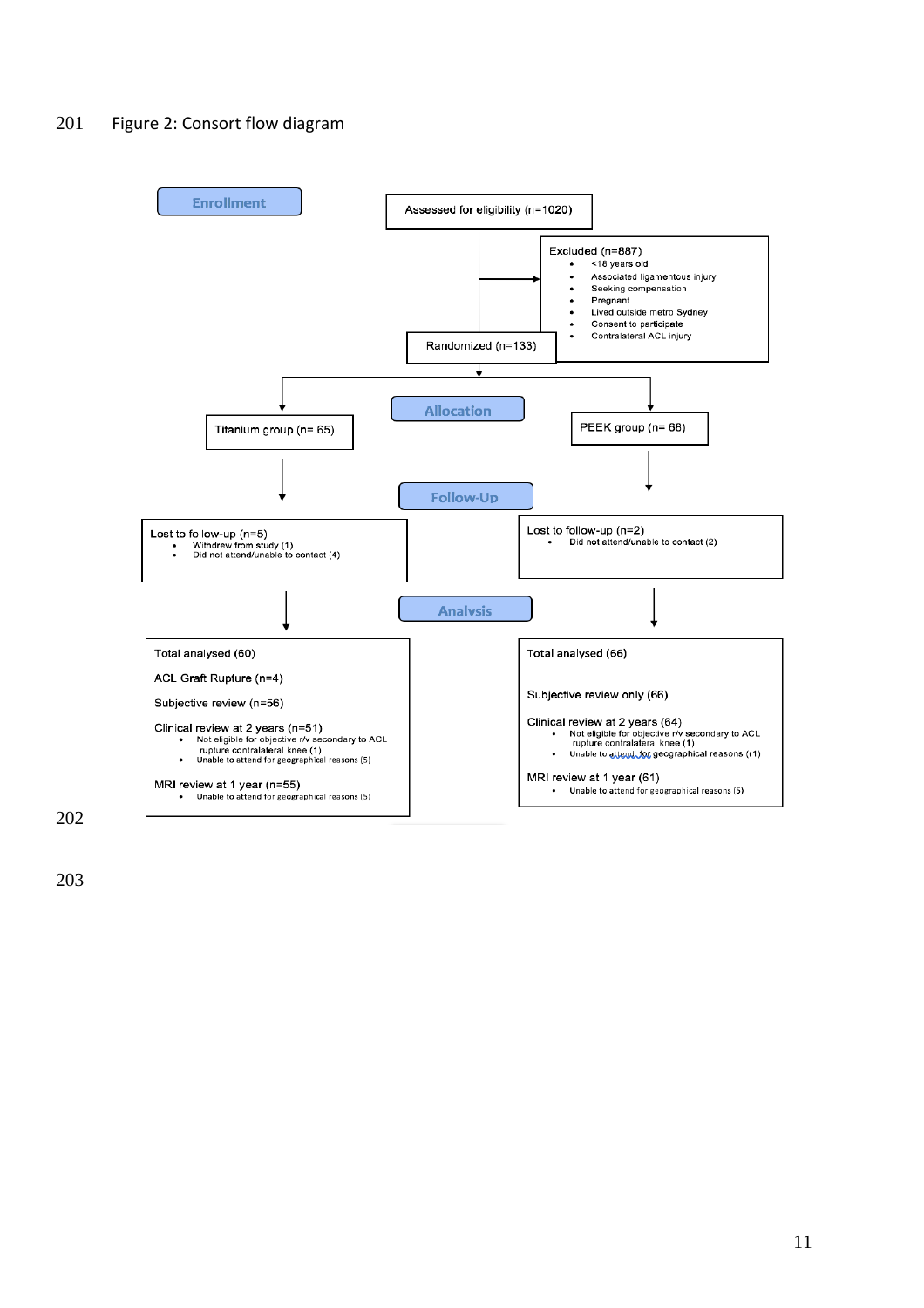## Figure 2: Consort flow diagram

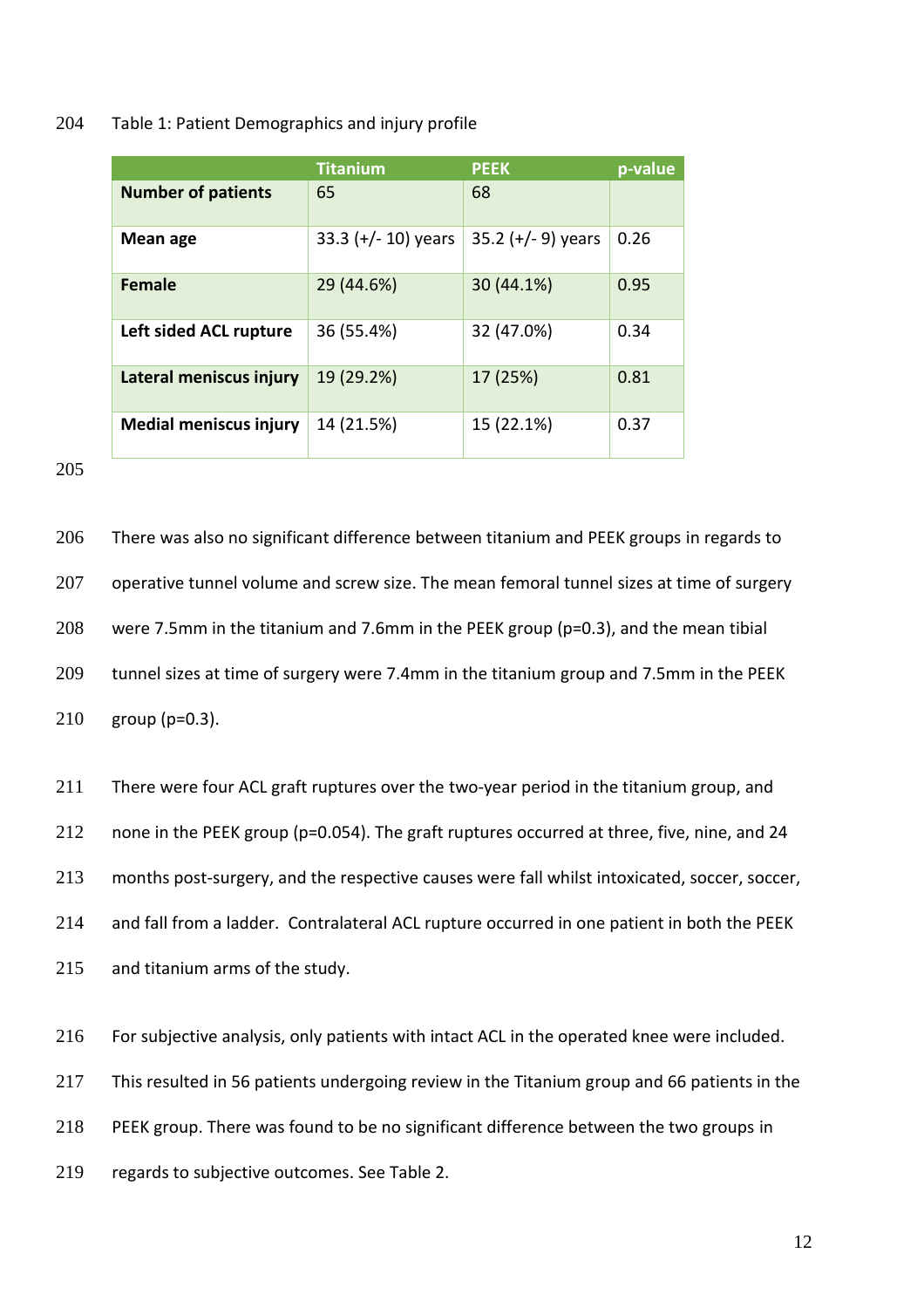#### Table 1: Patient Demographics and injury profile

|                               | <b>Titanium</b>       | <b>PEEK</b>          | p-value |
|-------------------------------|-----------------------|----------------------|---------|
| <b>Number of patients</b>     | 65                    | 68                   |         |
| Mean age                      | 33.3 $(+/- 10)$ years | 35.2 $(+/- 9)$ years | 0.26    |
| <b>Female</b>                 | 29 (44.6%)            | 30 (44.1%)           | 0.95    |
| Left sided ACL rupture        | 36 (55.4%)            | 32 (47.0%)           | 0.34    |
| Lateral meniscus injury       | 19 (29.2%)            | 17 (25%)             | 0.81    |
| <b>Medial meniscus injury</b> | 14 (21.5%)            | 15 (22.1%)           | 0.37    |

 There was also no significant difference between titanium and PEEK groups in regards to 207 operative tunnel volume and screw size. The mean femoral tunnel sizes at time of surgery were 7.5mm in the titanium and 7.6mm in the PEEK group (p=0.3), and the mean tibial tunnel sizes at time of surgery were 7.4mm in the titanium group and 7.5mm in the PEEK group (p=0.3).

 There were four ACL graft ruptures over the two-year period in the titanium group, and 212 none in the PEEK group (p=0.054). The graft ruptures occurred at three, five, nine, and 24 months post-surgery, and the respective causes were fall whilst intoxicated, soccer, soccer, and fall from a ladder. Contralateral ACL rupture occurred in one patient in both the PEEK and titanium arms of the study.

For subjective analysis, only patients with intact ACL in the operated knee were included.

This resulted in 56 patients undergoing review in the Titanium group and 66 patients in the

PEEK group. There was found to be no significant difference between the two groups in

regards to subjective outcomes. See Table 2.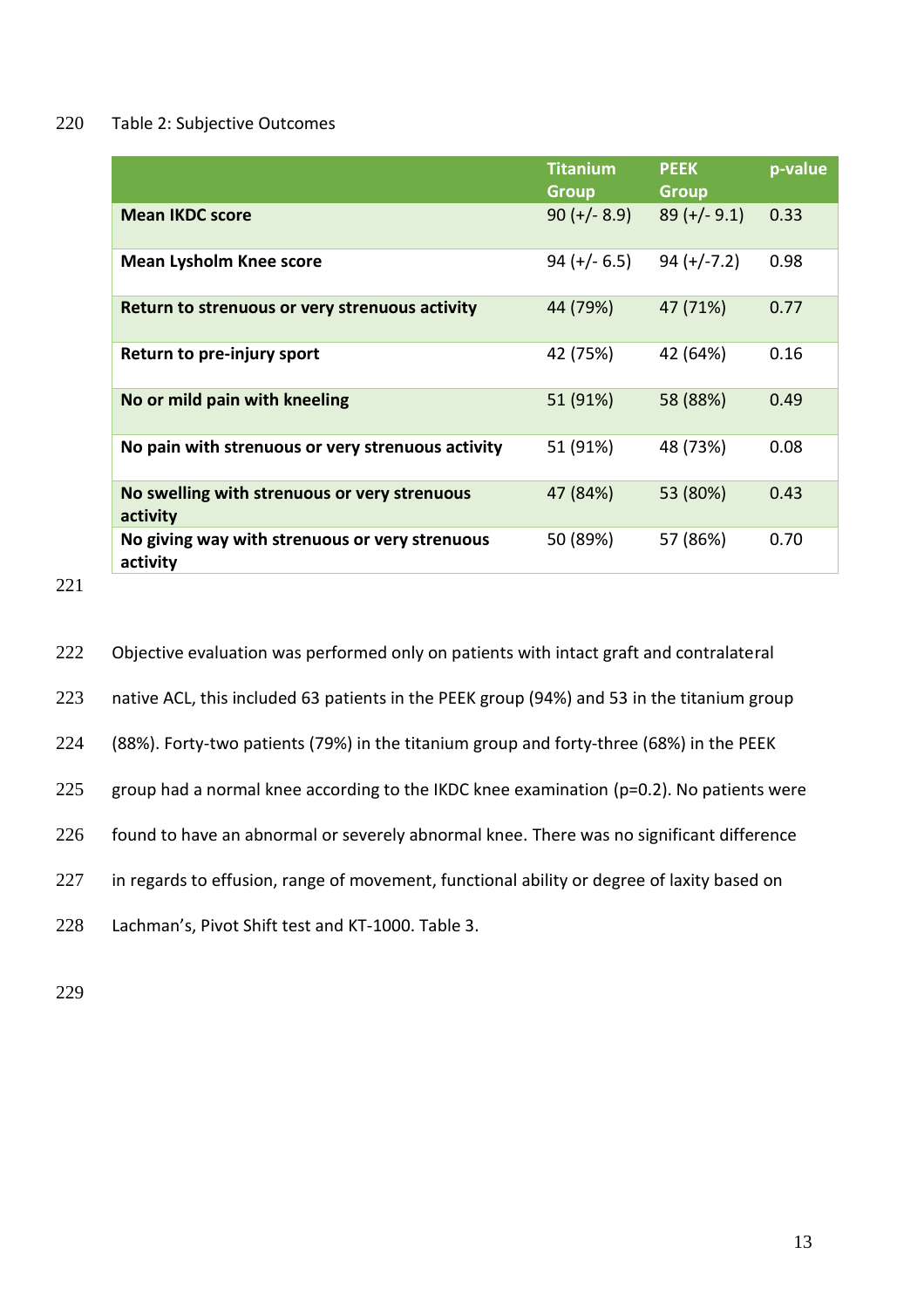## 220 Table 2: Subjective Outcomes

|                                                            | <b>Titanium</b><br><b>Group</b> | <b>PEEK</b><br><b>Group</b> | p-value |
|------------------------------------------------------------|---------------------------------|-----------------------------|---------|
| <b>Mean IKDC score</b>                                     | $90 (+/- 8.9)$                  | $89 (+/- 9.1)$              | 0.33    |
| <b>Mean Lysholm Knee score</b>                             | $94 (+/- 6.5)$                  | $94 (+/-7.2)$               | 0.98    |
| Return to strenuous or very strenuous activity             | 44 (79%)                        | 47 (71%)                    | 0.77    |
| Return to pre-injury sport                                 | 42 (75%)                        | 42 (64%)                    | 0.16    |
| No or mild pain with kneeling                              | 51 (91%)                        | 58 (88%)                    | 0.49    |
| No pain with strenuous or very strenuous activity          | 51 (91%)                        | 48 (73%)                    | 0.08    |
| No swelling with strenuous or very strenuous<br>activity   | 47 (84%)                        | 53 (80%)                    | 0.43    |
| No giving way with strenuous or very strenuous<br>activity | 50 (89%)                        | 57 (86%)                    | 0.70    |

221

- 222 Objective evaluation was performed only on patients with intact graft and contralateral
- 223 native ACL, this included 63 patients in the PEEK group (94%) and 53 in the titanium group
- 224 (88%). Forty-two patients (79%) in the titanium group and forty-three (68%) in the PEEK
- 225 group had a normal knee according to the IKDC knee examination ( $p=0.2$ ). No patients were
- 226 found to have an abnormal or severely abnormal knee. There was no significant difference
- 227 in regards to effusion, range of movement, functional ability or degree of laxity based on
- 228 Lachman's, Pivot Shift test and KT-1000. Table 3.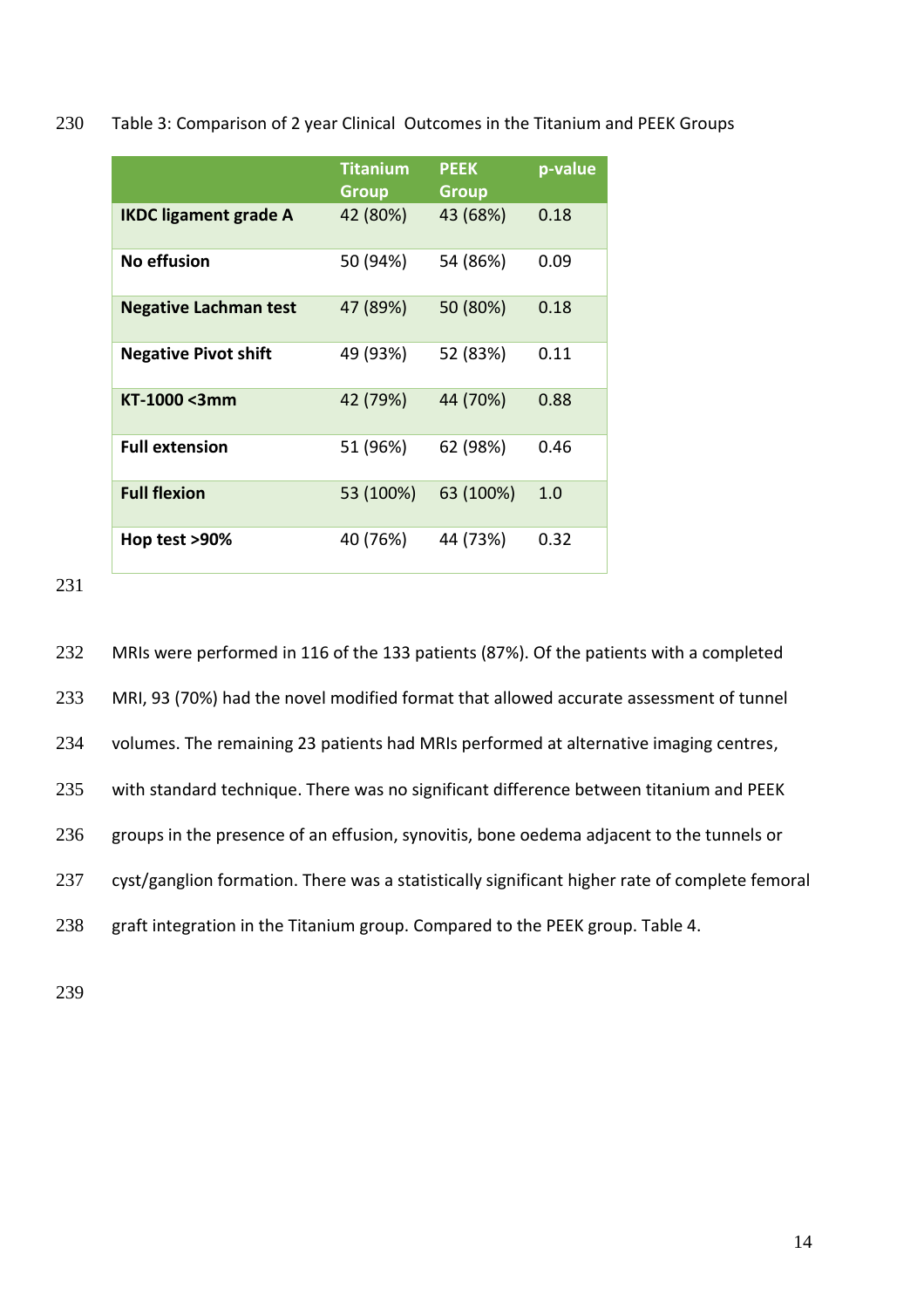230 Table 3: Comparison of 2 year Clinical Outcomes in the Titanium and PEEK Groups

|                              | <b>Titanium</b><br><b>Group</b> | <b>PEEK</b><br><b>Group</b> | p-value |
|------------------------------|---------------------------------|-----------------------------|---------|
| <b>IKDC ligament grade A</b> | 42 (80%)                        | 43 (68%)                    | 0.18    |
| <b>No effusion</b>           | 50 (94%)                        | 54 (86%)                    | 0.09    |
| <b>Negative Lachman test</b> | 47 (89%)                        | 50 (80%)                    | 0.18    |
| <b>Negative Pivot shift</b>  | 49 (93%)                        | 52 (83%)                    | 0.11    |
| KT-1000 <3mm                 | 42 (79%)                        | 44 (70%)                    | 0.88    |
| <b>Full extension</b>        | 51 (96%)                        | 62 (98%)                    | 0.46    |
| <b>Full flexion</b>          | 53 (100%)                       | 63 (100%)                   | 1.0     |
| Hop test >90%                | 40 (76%)                        | 44 (73%)                    | 0.32    |

231

232 MRIs were performed in 116 of the 133 patients (87%). Of the patients with a completed 233 MRI, 93 (70%) had the novel modified format that allowed accurate assessment of tunnel 234 volumes. The remaining 23 patients had MRIs performed at alternative imaging centres, 235 with standard technique. There was no significant difference between titanium and PEEK 236 groups in the presence of an effusion, synovitis, bone oedema adjacent to the tunnels or 237 cyst/ganglion formation. There was a statistically significant higher rate of complete femoral 238 graft integration in the Titanium group. Compared to the PEEK group. Table 4.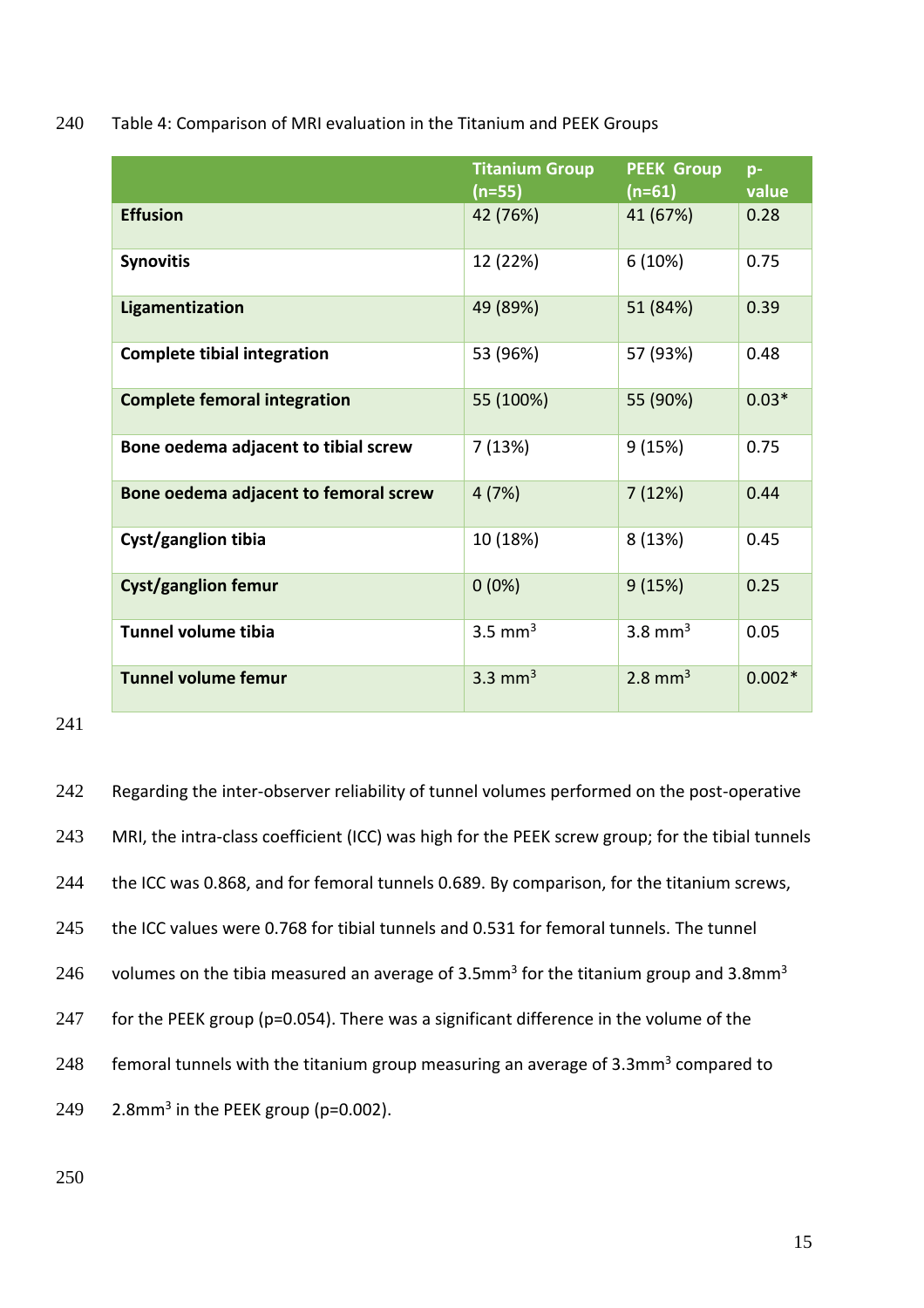240 Table 4: Comparison of MRI evaluation in the Titanium and PEEK Groups

|                                       | <b>Titanium Group</b><br>$(n=55)$ | <b>PEEK Group</b><br>$(n=61)$ | $D -$<br>value |
|---------------------------------------|-----------------------------------|-------------------------------|----------------|
| <b>Effusion</b>                       | 42 (76%)                          | 41 (67%)                      | 0.28           |
| <b>Synovitis</b>                      | 12 (22%)                          | 6(10%)                        | 0.75           |
| Ligamentization                       | 49 (89%)                          | 51 (84%)                      | 0.39           |
| <b>Complete tibial integration</b>    | 53 (96%)                          | 57 (93%)                      | 0.48           |
| <b>Complete femoral integration</b>   | 55 (100%)                         | 55 (90%)                      | $0.03*$        |
| Bone oedema adjacent to tibial screw  | 7(13%)                            | 9(15%)                        | 0.75           |
| Bone oedema adjacent to femoral screw | 4(7%)                             | 7(12%)                        | 0.44           |
| Cyst/ganglion tibia                   | 10 (18%)                          | 8 (13%)                       | 0.45           |
| <b>Cyst/ganglion femur</b>            | $0(0\%)$                          | 9(15%)                        | 0.25           |
| Tunnel volume tibia                   | $3.5$ mm <sup>3</sup>             | 3.8 mm <sup>3</sup>           | 0.05           |
| <b>Tunnel volume femur</b>            | 3.3 mm <sup>3</sup>               | $2.8$ mm <sup>3</sup>         | $0.002*$       |

## 241

242 Regarding the inter-observer reliability of tunnel volumes performed on the post-operative 243 MRI, the intra-class coefficient (ICC) was high for the PEEK screw group; for the tibial tunnels 244 the ICC was 0.868, and for femoral tunnels 0.689. By comparison, for the titanium screws, 245 the ICC values were 0.768 for tibial tunnels and 0.531 for femoral tunnels. The tunnel  $246$  volumes on the tibia measured an average of 3.5mm<sup>3</sup> for the titanium group and 3.8mm<sup>3</sup> 247 for the PEEK group (p=0.054). There was a significant difference in the volume of the 248 femoral tunnels with the titanium group measuring an average of  $3.3$ mm<sup>3</sup> compared to 249 2.8mm<sup>3</sup> in the PEEK group (p=0.002).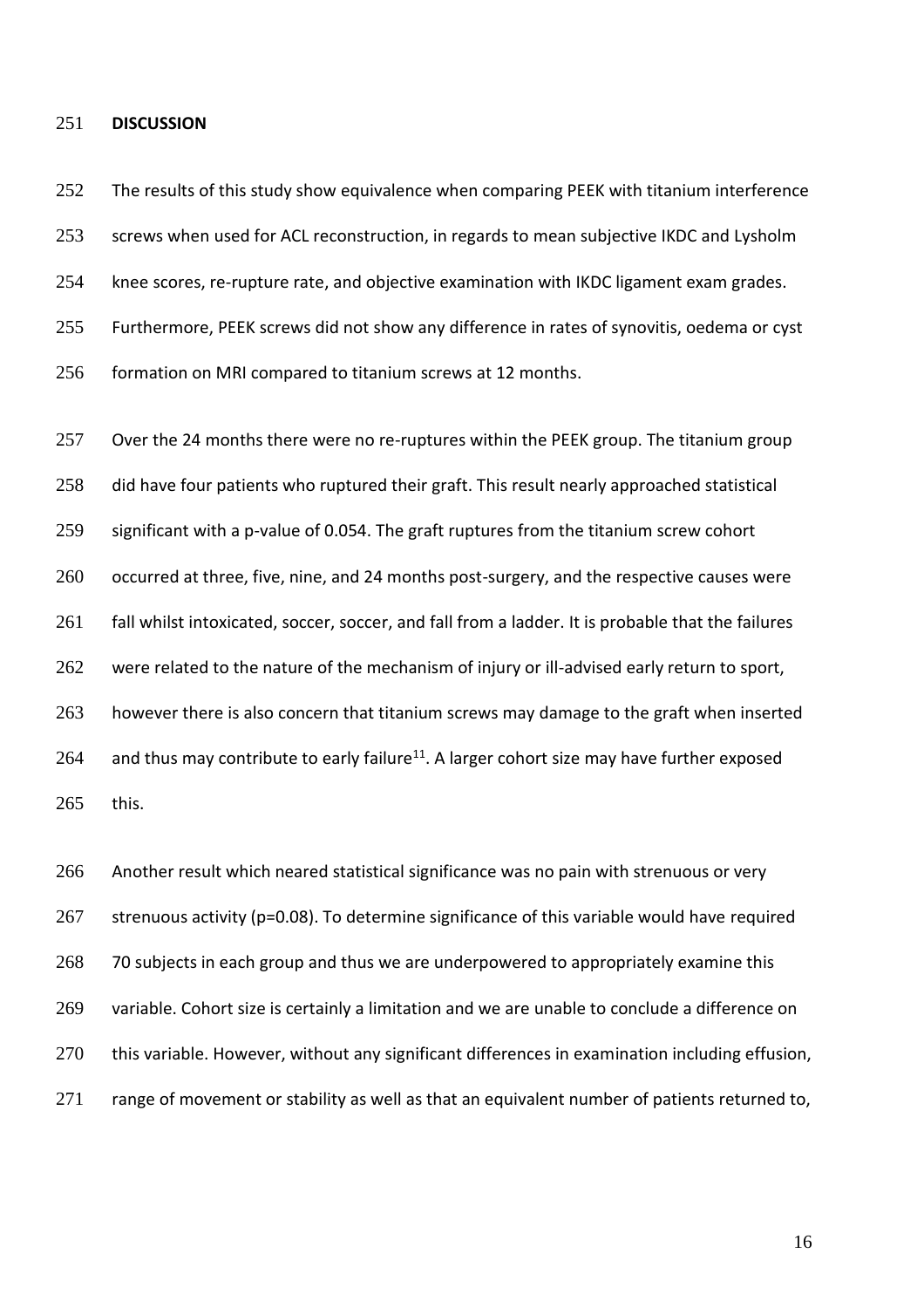#### 251 **DISCUSSION**

252 The results of this study show equivalence when comparing PEEK with titanium interference 253 screws when used for ACL reconstruction, in regards to mean subjective IKDC and Lysholm 254 knee scores, re-rupture rate, and objective examination with IKDC ligament exam grades. 255 Furthermore, PEEK screws did not show any difference in rates of synovitis, oedema or cyst 256 formation on MRI compared to titanium screws at 12 months.

257 Over the 24 months there were no re-ruptures within the PEEK group. The titanium group 258 did have four patients who ruptured their graft. This result nearly approached statistical 259 significant with a p-value of 0.054. The graft ruptures from the titanium screw cohort 260 occurred at three, five, nine, and 24 months post-surgery, and the respective causes were 261 fall whilst intoxicated, soccer, soccer, and fall from a ladder. It is probable that the failures 262 were related to the nature of the mechanism of injury or ill-advised early return to sport, 263 however there is also concern that titanium screws may damage to the graft when inserted 264 and thus may contribute to early failure<sup>11</sup>. A larger cohort size may have further exposed 265 this.

266 Another result which neared statistical significance was no pain with strenuous or very 267 strenuous activity (p=0.08). To determine significance of this variable would have required 268 70 subjects in each group and thus we are underpowered to appropriately examine this 269 variable. Cohort size is certainly a limitation and we are unable to conclude a difference on 270 this variable. However, without any significant differences in examination including effusion, 271 range of movement or stability as well as that an equivalent number of patients returned to,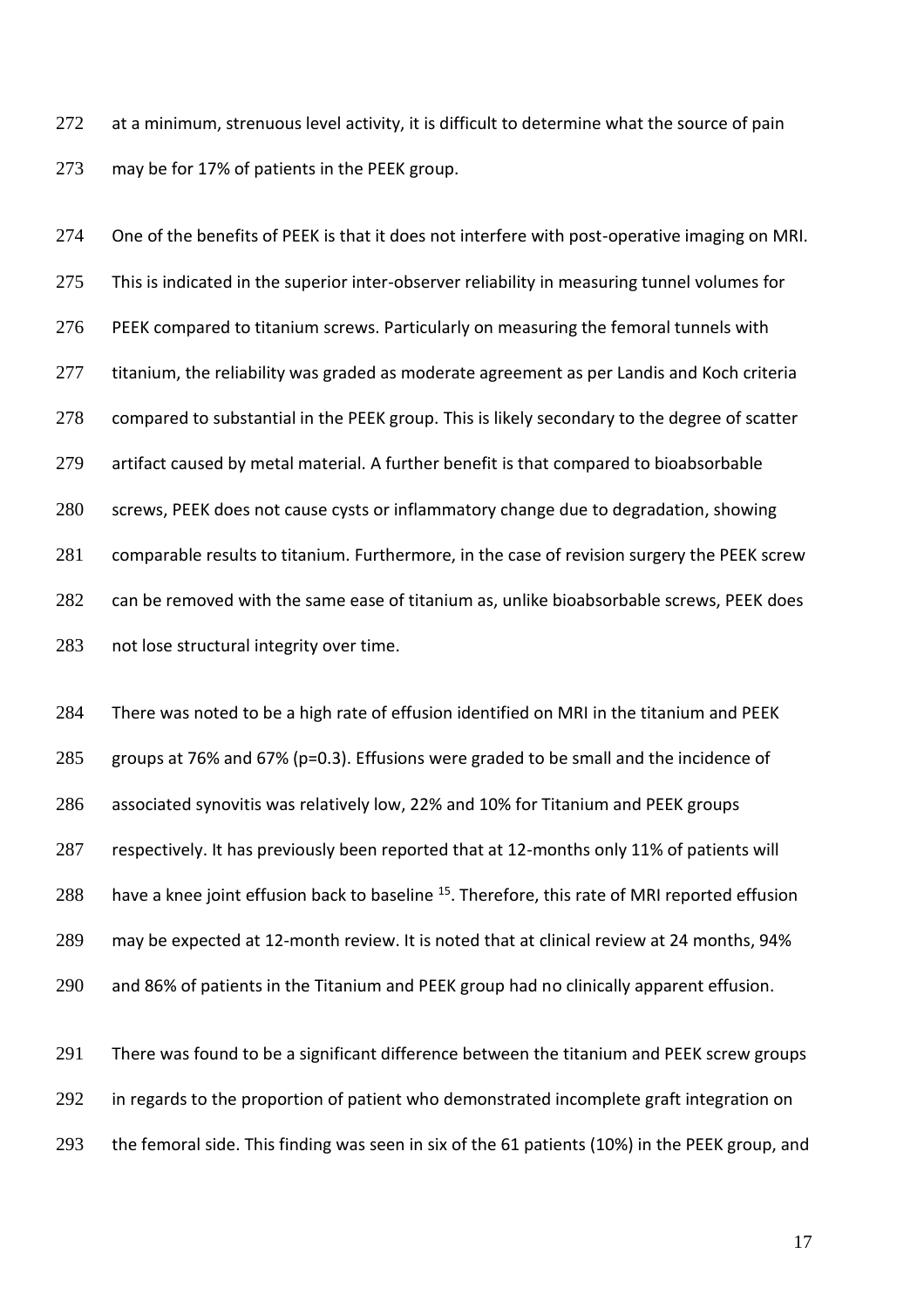272 at a minimum, strenuous level activity, it is difficult to determine what the source of pain may be for 17% of patients in the PEEK group.

 One of the benefits of PEEK is that it does not interfere with post-operative imaging on MRI. 275 This is indicated in the superior inter-observer reliability in measuring tunnel volumes for PEEK compared to titanium screws. Particularly on measuring the femoral tunnels with 277 titanium, the reliability was graded as moderate agreement as per Landis and Koch criteria compared to substantial in the PEEK group. This is likely secondary to the degree of scatter artifact caused by metal material. A further benefit is that compared to bioabsorbable screws, PEEK does not cause cysts or inflammatory change due to degradation, showing comparable results to titanium. Furthermore, in the case of revision surgery the PEEK screw can be removed with the same ease of titanium as, unlike bioabsorbable screws, PEEK does not lose structural integrity over time.

 There was noted to be a high rate of effusion identified on MRI in the titanium and PEEK groups at 76% and 67% (p=0.3). Effusions were graded to be small and the incidence of associated synovitis was relatively low, 22% and 10% for Titanium and PEEK groups respectively. It has previously been reported that at 12-months only 11% of patients will 288 have a knee joint effusion back to baseline <sup>15</sup>. Therefore, this rate of MRI reported effusion may be expected at 12-month review. It is noted that at clinical review at 24 months, 94% and 86% of patients in the Titanium and PEEK group had no clinically apparent effusion.

 There was found to be a significant difference between the titanium and PEEK screw groups 292 in regards to the proportion of patient who demonstrated incomplete graft integration on the femoral side. This finding was seen in six of the 61 patients (10%) in the PEEK group, and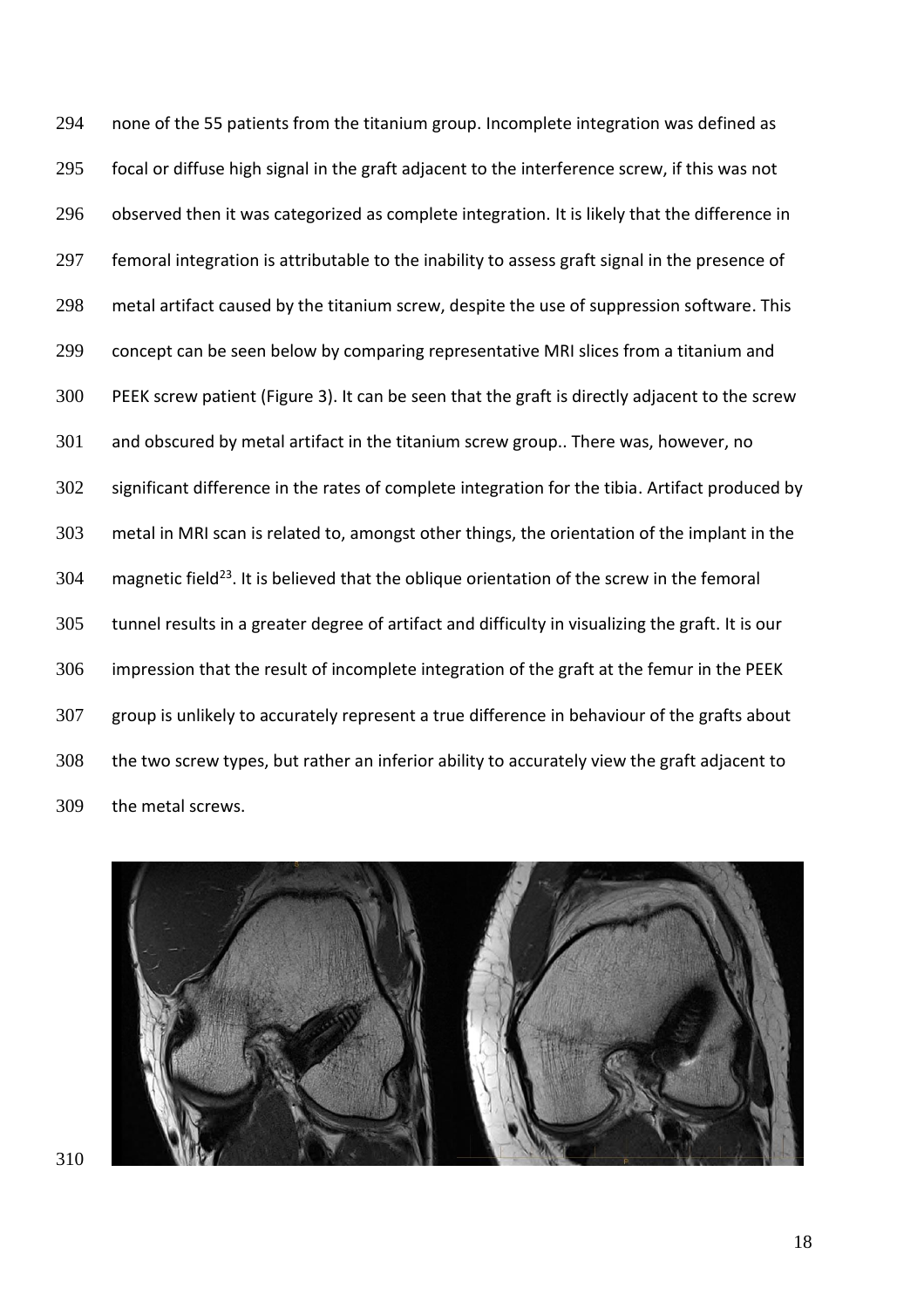none of the 55 patients from the titanium group. Incomplete integration was defined as focal or diffuse high signal in the graft adjacent to the interference screw, if this was not 296 observed then it was categorized as complete integration. It is likely that the difference in 297 femoral integration is attributable to the inability to assess graft signal in the presence of metal artifact caused by the titanium screw, despite the use of suppression software. This concept can be seen below by comparing representative MRI slices from a titanium and PEEK screw patient (Figure 3). It can be seen that the graft is directly adjacent to the screw and obscured by metal artifact in the titanium screw group.. There was, however, no significant difference in the rates of complete integration for the tibia. Artifact produced by metal in MRI scan is related to, amongst other things, the orientation of the implant in the 304 magnetic field<sup>23</sup>. It is believed that the oblique orientation of the screw in the femoral tunnel results in a greater degree of artifact and difficulty in visualizing the graft. It is our impression that the result of incomplete integration of the graft at the femur in the PEEK group is unlikely to accurately represent a true difference in behaviour of the grafts about the two screw types, but rather an inferior ability to accurately view the graft adjacent to the metal screws.

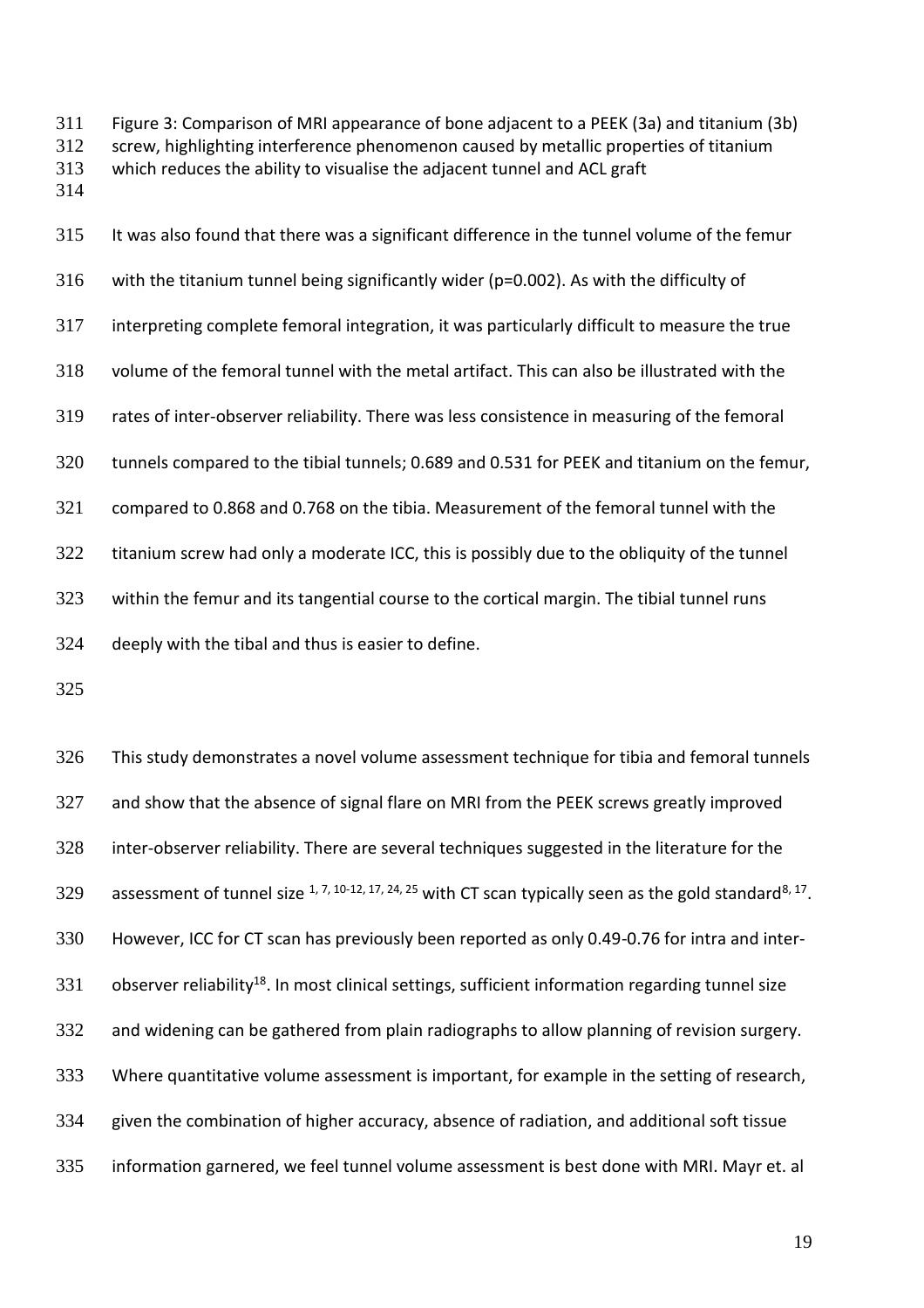Figure 3: Comparison of MRI appearance of bone adjacent to a PEEK (3a) and titanium (3b) screw, highlighting interference phenomenon caused by metallic properties of titanium which reduces the ability to visualise the adjacent tunnel and ACL graft

 It was also found that there was a significant difference in the tunnel volume of the femur with the titanium tunnel being significantly wider (p=0.002). As with the difficulty of interpreting complete femoral integration, it was particularly difficult to measure the true volume of the femoral tunnel with the metal artifact. This can also be illustrated with the rates of inter-observer reliability. There was less consistence in measuring of the femoral tunnels compared to the tibial tunnels; 0.689 and 0.531 for PEEK and titanium on the femur, compared to 0.868 and 0.768 on the tibia. Measurement of the femoral tunnel with the titanium screw had only a moderate ICC, this is possibly due to the obliquity of the tunnel within the femur and its tangential course to the cortical margin. The tibial tunnel runs deeply with the tibal and thus is easier to define.

 This study demonstrates a novel volume assessment technique for tibia and femoral tunnels and show that the absence of signal flare on MRI from the PEEK screws greatly improved inter-observer reliability. There are several techniques suggested in the literature for the 329 assessment of tunnel size  $^{1, 7, 10 \cdot 12, 17, 24, 25}$  with CT scan typically seen as the gold standard<sup>8, 17</sup>. However, ICC for CT scan has previously been reported as only 0.49-0.76 for intra and inter-331 observer reliability<sup>18</sup>. In most clinical settings, sufficient information regarding tunnel size and widening can be gathered from plain radiographs to allow planning of revision surgery. Where quantitative volume assessment is important, for example in the setting of research, given the combination of higher accuracy, absence of radiation, and additional soft tissue information garnered, we feel tunnel volume assessment is best done with MRI. Mayr et. al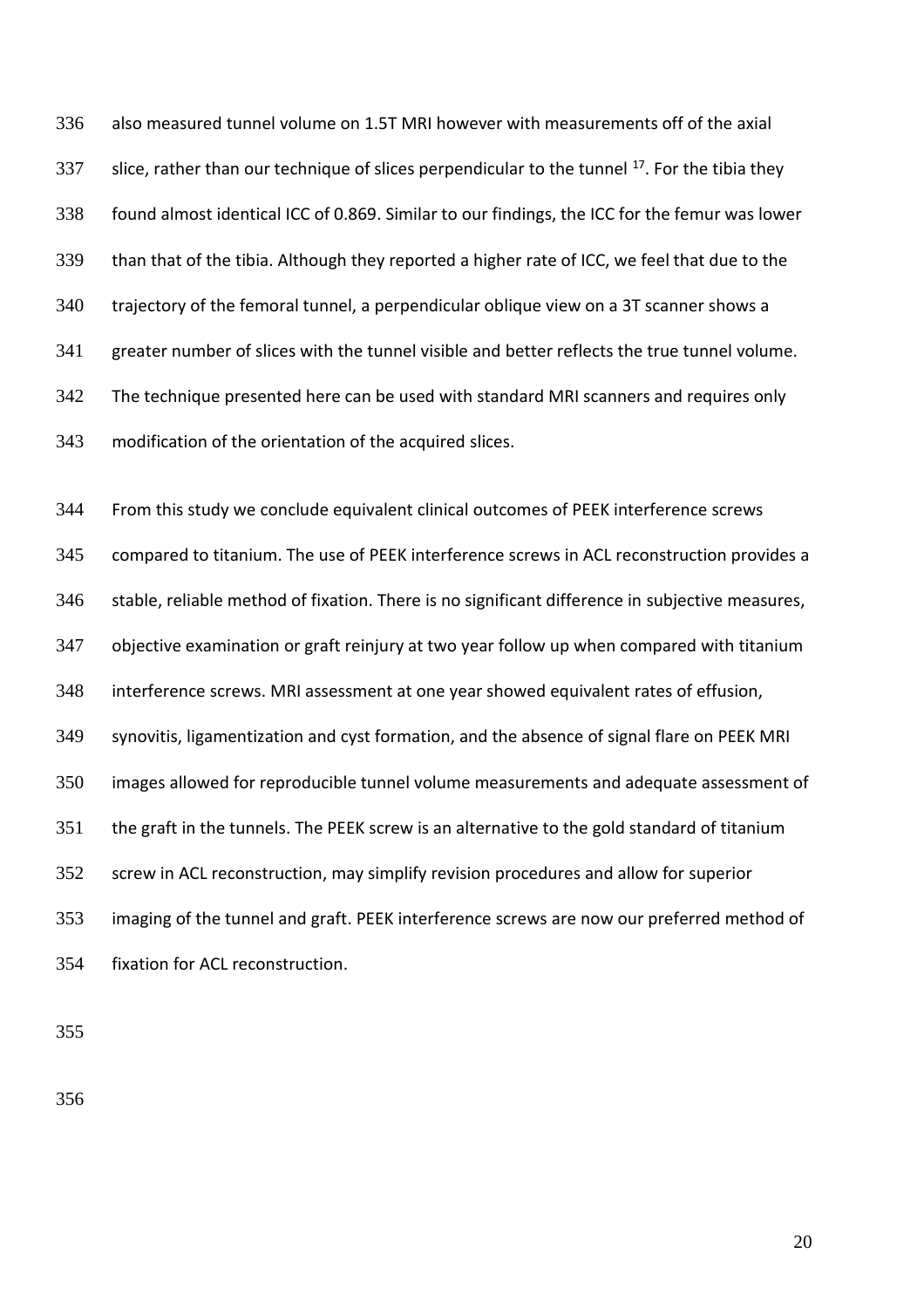also measured tunnel volume on 1.5T MRI however with measurements off of the axial 337 slice, rather than our technique of slices perpendicular to the tunnel  $^{17}$ . For the tibia they found almost identical ICC of 0.869. Similar to our findings, the ICC for the femur was lower than that of the tibia. Although they reported a higher rate of ICC, we feel that due to the trajectory of the femoral tunnel, a perpendicular oblique view on a 3T scanner shows a greater number of slices with the tunnel visible and better reflects the true tunnel volume. The technique presented here can be used with standard MRI scanners and requires only modification of the orientation of the acquired slices.

 From this study we conclude equivalent clinical outcomes of PEEK interference screws compared to titanium. The use of PEEK interference screws in ACL reconstruction provides a stable, reliable method of fixation. There is no significant difference in subjective measures, objective examination or graft reinjury at two year follow up when compared with titanium interference screws. MRI assessment at one year showed equivalent rates of effusion, synovitis, ligamentization and cyst formation, and the absence of signal flare on PEEK MRI images allowed for reproducible tunnel volume measurements and adequate assessment of the graft in the tunnels. The PEEK screw is an alternative to the gold standard of titanium screw in ACL reconstruction, may simplify revision procedures and allow for superior imaging of the tunnel and graft. PEEK interference screws are now our preferred method of fixation for ACL reconstruction.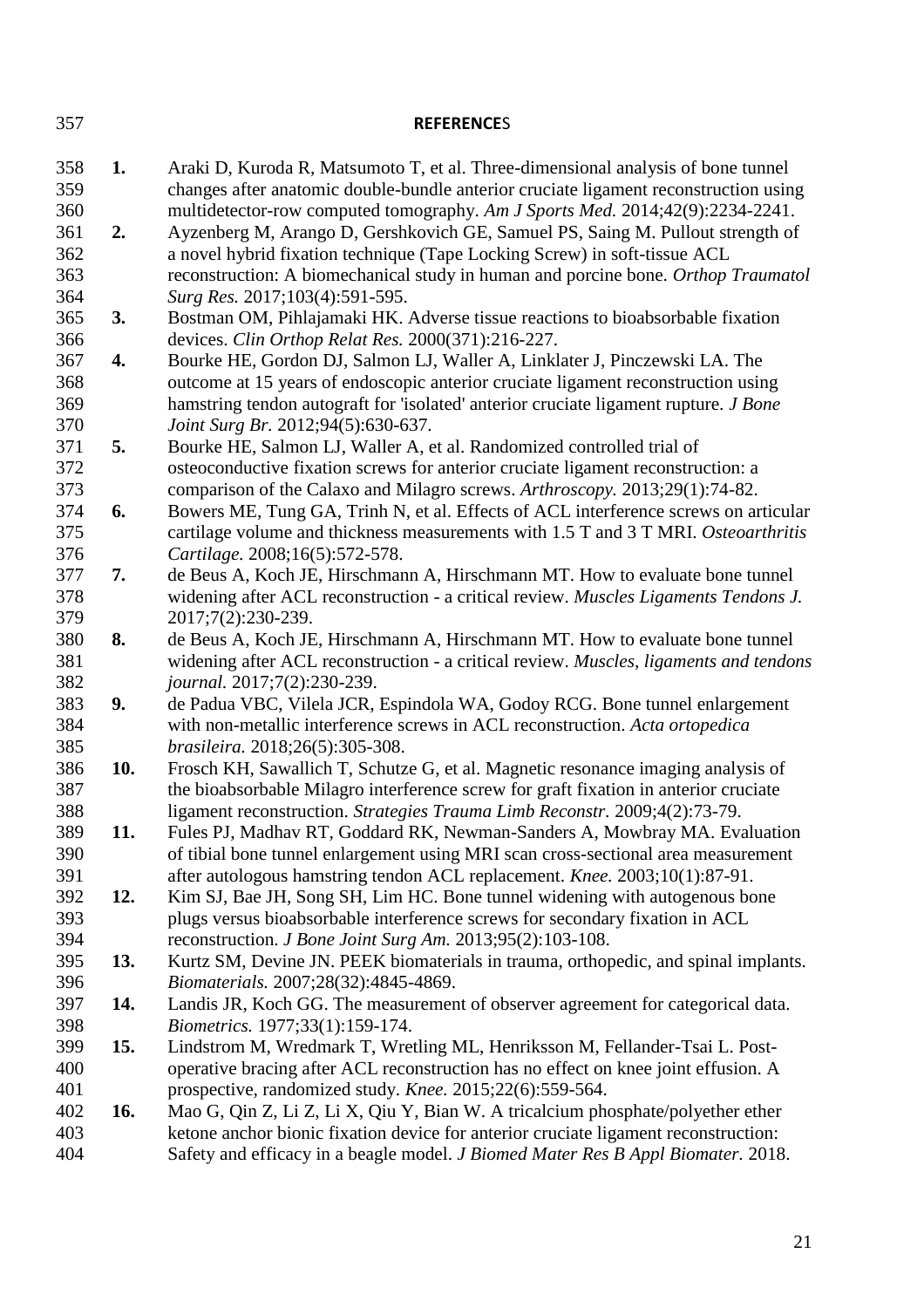| 357        |     | <b>REFERENCES</b>                                                                                                                                                      |
|------------|-----|------------------------------------------------------------------------------------------------------------------------------------------------------------------------|
|            |     |                                                                                                                                                                        |
| 358        | 1.  | Araki D, Kuroda R, Matsumoto T, et al. Three-dimensional analysis of bone tunnel                                                                                       |
| 359        |     | changes after anatomic double-bundle anterior cruciate ligament reconstruction using                                                                                   |
| 360        |     | multidetector-row computed tomography. Am J Sports Med. 2014;42(9):2234-2241.                                                                                          |
| 361<br>362 | 2.  | Ayzenberg M, Arango D, Gershkovich GE, Samuel PS, Saing M. Pullout strength of                                                                                         |
| 363        |     | a novel hybrid fixation technique (Tape Locking Screw) in soft-tissue ACL<br>reconstruction: A biomechanical study in human and porcine bone. Orthop Traumatol         |
| 364        |     | Surg Res. 2017;103(4):591-595.                                                                                                                                         |
| 365        | 3.  | Bostman OM, Pihlajamaki HK. Adverse tissue reactions to bioabsorbable fixation                                                                                         |
| 366        |     | devices. Clin Orthop Relat Res. 2000(371):216-227.                                                                                                                     |
| 367        | 4.  | Bourke HE, Gordon DJ, Salmon LJ, Waller A, Linklater J, Pinczewski LA. The                                                                                             |
| 368        |     | outcome at 15 years of endoscopic anterior cruciate ligament reconstruction using                                                                                      |
| 369        |     | hamstring tendon autograft for 'isolated' anterior cruciate ligament rupture. J Bone                                                                                   |
| 370        |     | Joint Surg Br. 2012;94(5):630-637.                                                                                                                                     |
| 371        | 5.  | Bourke HE, Salmon LJ, Waller A, et al. Randomized controlled trial of                                                                                                  |
| 372        |     | osteoconductive fixation screws for anterior cruciate ligament reconstruction: a                                                                                       |
| 373        |     | comparison of the Calaxo and Milagro screws. Arthroscopy. 2013;29(1):74-82.                                                                                            |
| 374        | 6.  | Bowers ME, Tung GA, Trinh N, et al. Effects of ACL interference screws on articular                                                                                    |
| 375        |     | cartilage volume and thickness measurements with 1.5 T and 3 T MRI. Osteoarthritis                                                                                     |
| 376        |     | Cartilage. 2008;16(5):572-578.                                                                                                                                         |
| 377        | 7.  | de Beus A, Koch JE, Hirschmann A, Hirschmann MT. How to evaluate bone tunnel                                                                                           |
| 378        |     | widening after ACL reconstruction - a critical review. Muscles Ligaments Tendons J.                                                                                    |
| 379        |     | 2017;7(2):230-239.                                                                                                                                                     |
| 380        | 8.  | de Beus A, Koch JE, Hirschmann A, Hirschmann MT. How to evaluate bone tunnel                                                                                           |
| 381        |     | widening after ACL reconstruction - a critical review. Muscles, ligaments and tendons                                                                                  |
| 382        |     | journal. 2017;7(2):230-239.                                                                                                                                            |
| 383        | 9.  | de Padua VBC, Vilela JCR, Espindola WA, Godoy RCG. Bone tunnel enlargement                                                                                             |
| 384        |     | with non-metallic interference screws in ACL reconstruction. Acta ortopedica                                                                                           |
| 385        |     | brasileira. 2018;26(5):305-308.                                                                                                                                        |
| 386        | 10. | Frosch KH, Sawallich T, Schutze G, et al. Magnetic resonance imaging analysis of                                                                                       |
| 387        |     | the bioabsorbable Milagro interference screw for graft fixation in anterior cruciate                                                                                   |
| 388        |     | ligament reconstruction. Strategies Trauma Limb Reconstr. 2009;4(2):73-79.                                                                                             |
| 389        | 11. | Fules PJ, Madhav RT, Goddard RK, Newman-Sanders A, Mowbray MA. Evaluation                                                                                              |
| 390        |     | of tibial bone tunnel enlargement using MRI scan cross-sectional area measurement                                                                                      |
| 391        |     | after autologous hamstring tendon ACL replacement. Knee. 2003;10(1):87-91.                                                                                             |
| 392        | 12. | Kim SJ, Bae JH, Song SH, Lim HC. Bone tunnel widening with autogenous bone                                                                                             |
| 393        |     | plugs versus bioabsorbable interference screws for secondary fixation in ACL                                                                                           |
| 394        |     | reconstruction. J Bone Joint Surg Am. 2013;95(2):103-108.                                                                                                              |
| 395        | 13. | Kurtz SM, Devine JN. PEEK biomaterials in trauma, orthopedic, and spinal implants.                                                                                     |
| 396        |     | <i>Biomaterials.</i> 2007;28(32):4845-4869.                                                                                                                            |
| 397        | 14. | Landis JR, Koch GG. The measurement of observer agreement for categorical data.                                                                                        |
| 398        |     | Biometrics. 1977;33(1):159-174.                                                                                                                                        |
| 399        | 15. | Lindstrom M, Wredmark T, Wretling ML, Henriksson M, Fellander-Tsai L. Post-                                                                                            |
| 400        |     | operative bracing after ACL reconstruction has no effect on knee joint effusion. A                                                                                     |
| 401<br>402 | 16. | prospective, randomized study. Knee. 2015;22(6):559-564.                                                                                                               |
| 403        |     | Mao G, Qin Z, Li Z, Li X, Qiu Y, Bian W. A tricalcium phosphate/polyether ether<br>ketone anchor bionic fixation device for anterior cruciate ligament reconstruction: |
| 404        |     | Safety and efficacy in a beagle model. J Biomed Mater Res B Appl Biomater. 2018.                                                                                       |
|            |     |                                                                                                                                                                        |